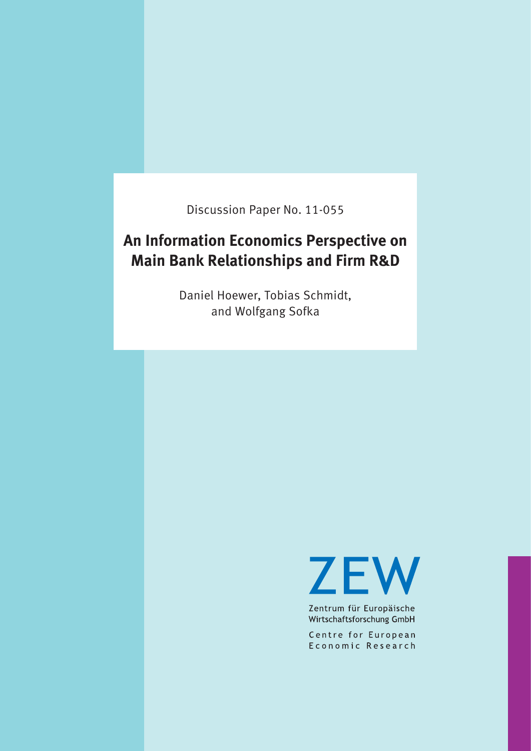Discussion Paper No. 11-055

# **An Information Economics Perspective on Main Bank Relationships and Firm R&D**

Daniel Hoewer, Tobias Schmidt, and Wolfgang Sofka

**ZEW** 

Zentrum für Europäische Wirtschaftsforschung GmbH

Centre for European Economic Research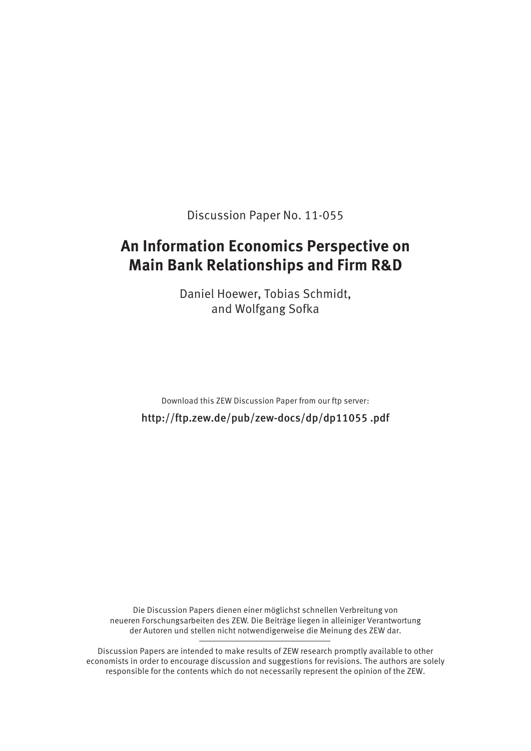Discussion Paper No. 11-055

# **An Information Economics Perspective on Main Bank Relationships and Firm R&D**

Daniel Hoewer, Tobias Schmidt, and Wolfgang Sofka

Download this ZEW Discussion Paper from our ftp server: http://ftp.zew.de/pub/zew-docs/dp/dp11055 .pdf

Die Discussion Papers dienen einer möglichst schnellen Verbreitung von neueren Forschungsarbeiten des ZEW. Die Beiträge liegen in alleiniger Verantwortung der Autoren und stellen nicht notwendigerweise die Meinung des ZEW dar.

Discussion Papers are intended to make results of ZEW research promptly available to other economists in order to encourage discussion and suggestions for revisions. The authors are solely responsible for the contents which do not necessarily represent the opinion of the ZEW.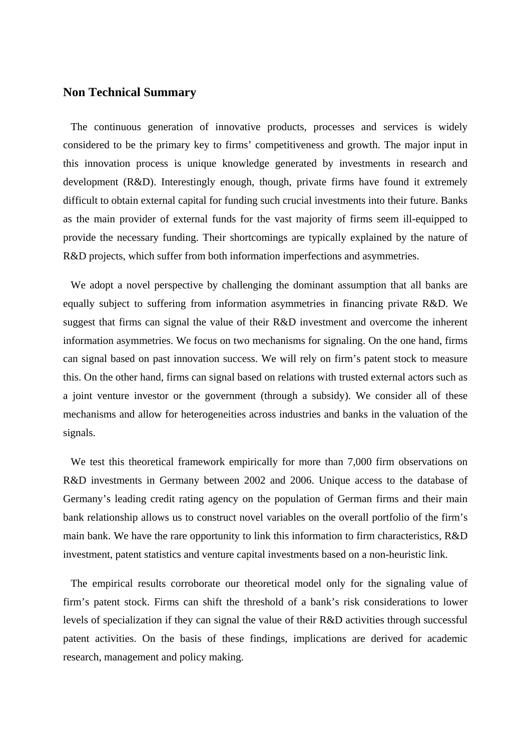### **Non Technical Summary**

The continuous generation of innovative products, processes and services is widely considered to be the primary key to firms' competitiveness and growth. The major input in this innovation process is unique knowledge generated by investments in research and development (R&D). Interestingly enough, though, private firms have found it extremely difficult to obtain external capital for funding such crucial investments into their future. Banks as the main provider of external funds for the vast majority of firms seem ill-equipped to provide the necessary funding. Their shortcomings are typically explained by the nature of R&D projects, which suffer from both information imperfections and asymmetries.

We adopt a novel perspective by challenging the dominant assumption that all banks are equally subject to suffering from information asymmetries in financing private R&D. We suggest that firms can signal the value of their R&D investment and overcome the inherent information asymmetries. We focus on two mechanisms for signaling. On the one hand, firms can signal based on past innovation success. We will rely on firm's patent stock to measure this. On the other hand, firms can signal based on relations with trusted external actors such as a joint venture investor or the government (through a subsidy). We consider all of these mechanisms and allow for heterogeneities across industries and banks in the valuation of the signals.

We test this theoretical framework empirically for more than 7,000 firm observations on R&D investments in Germany between 2002 and 2006. Unique access to the database of Germany's leading credit rating agency on the population of German firms and their main bank relationship allows us to construct novel variables on the overall portfolio of the firm's main bank. We have the rare opportunity to link this information to firm characteristics, R&D investment, patent statistics and venture capital investments based on a non-heuristic link.

The empirical results corroborate our theoretical model only for the signaling value of firm's patent stock. Firms can shift the threshold of a bank's risk considerations to lower levels of specialization if they can signal the value of their R&D activities through successful patent activities. On the basis of these findings, implications are derived for academic research, management and policy making.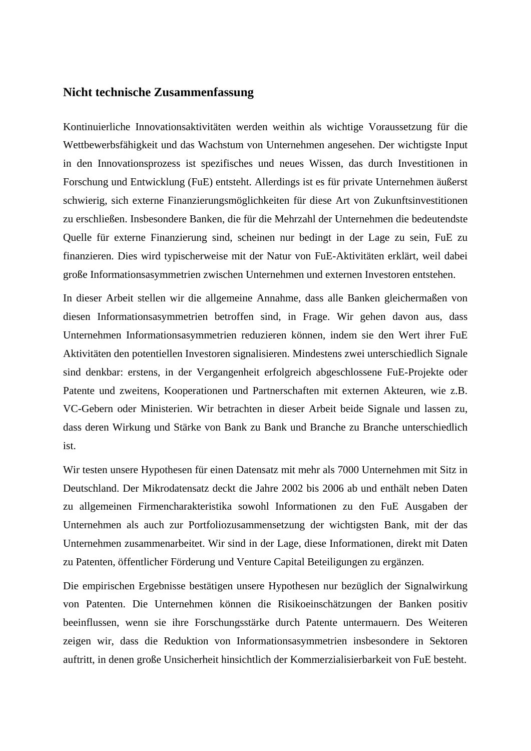### **Nicht technische Zusammenfassung**

Kontinuierliche Innovationsaktivitäten werden weithin als wichtige Voraussetzung für die Wettbewerbsfähigkeit und das Wachstum von Unternehmen angesehen. Der wichtigste Input in den Innovationsprozess ist spezifisches und neues Wissen, das durch Investitionen in Forschung und Entwicklung (FuE) entsteht. Allerdings ist es für private Unternehmen äußerst schwierig, sich externe Finanzierungsmöglichkeiten für diese Art von Zukunftsinvestitionen zu erschließen. Insbesondere Banken, die für die Mehrzahl der Unternehmen die bedeutendste Quelle für externe Finanzierung sind, scheinen nur bedingt in der Lage zu sein, FuE zu finanzieren. Dies wird typischerweise mit der Natur von FuE-Aktivitäten erklärt, weil dabei große Informationsasymmetrien zwischen Unternehmen und externen Investoren entstehen.

In dieser Arbeit stellen wir die allgemeine Annahme, dass alle Banken gleichermaßen von diesen Informationsasymmetrien betroffen sind, in Frage. Wir gehen davon aus, dass Unternehmen Informationsasymmetrien reduzieren können, indem sie den Wert ihrer FuE Aktivitäten den potentiellen Investoren signalisieren. Mindestens zwei unterschiedlich Signale sind denkbar: erstens, in der Vergangenheit erfolgreich abgeschlossene FuE-Projekte oder Patente und zweitens, Kooperationen und Partnerschaften mit externen Akteuren, wie z.B. VC-Gebern oder Ministerien. Wir betrachten in dieser Arbeit beide Signale und lassen zu, dass deren Wirkung und Stärke von Bank zu Bank und Branche zu Branche unterschiedlich ist.

Wir testen unsere Hypothesen für einen Datensatz mit mehr als 7000 Unternehmen mit Sitz in Deutschland. Der Mikrodatensatz deckt die Jahre 2002 bis 2006 ab und enthält neben Daten zu allgemeinen Firmencharakteristika sowohl Informationen zu den FuE Ausgaben der Unternehmen als auch zur Portfoliozusammensetzung der wichtigsten Bank, mit der das Unternehmen zusammenarbeitet. Wir sind in der Lage, diese Informationen, direkt mit Daten zu Patenten, öffentlicher Förderung und Venture Capital Beteiligungen zu ergänzen.

Die empirischen Ergebnisse bestätigen unsere Hypothesen nur bezüglich der Signalwirkung von Patenten. Die Unternehmen können die Risikoeinschätzungen der Banken positiv beeinflussen, wenn sie ihre Forschungsstärke durch Patente untermauern. Des Weiteren zeigen wir, dass die Reduktion von Informationsasymmetrien insbesondere in Sektoren auftritt, in denen große Unsicherheit hinsichtlich der Kommerzialisierbarkeit von FuE besteht.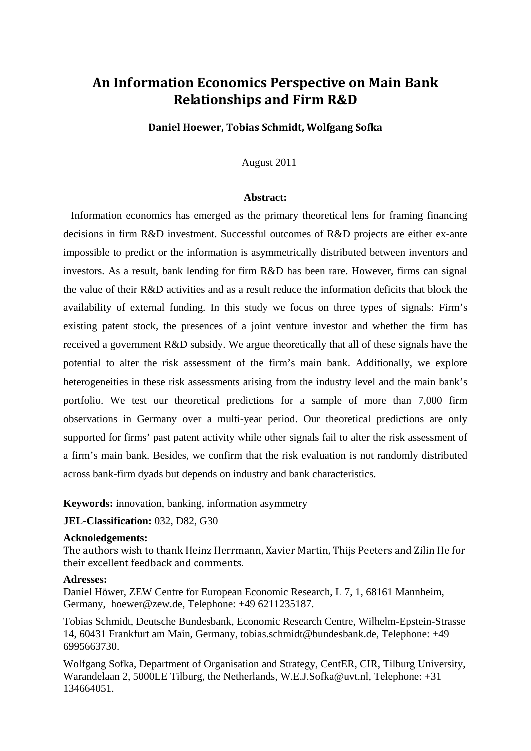# **An Information Economics Perspective on Main Bank Relationships and Firm R&D**

### **Daniel Hoewer, Tobias Schmidt, Wolfgang Sofka**

August 2011

#### **Abstract:**

Information economics has emerged as the primary theoretical lens for framing financing decisions in firm R&D investment. Successful outcomes of R&D projects are either ex-ante impossible to predict or the information is asymmetrically distributed between inventors and investors. As a result, bank lending for firm R&D has been rare. However, firms can signal the value of their R&D activities and as a result reduce the information deficits that block the availability of external funding. In this study we focus on three types of signals: Firm's existing patent stock, the presences of a joint venture investor and whether the firm has received a government R&D subsidy. We argue theoretically that all of these signals have the potential to alter the risk assessment of the firm's main bank. Additionally, we explore heterogeneities in these risk assessments arising from the industry level and the main bank's portfolio. We test our theoretical predictions for a sample of more than 7,000 firm observations in Germany over a multi-year period. Our theoretical predictions are only supported for firms' past patent activity while other signals fail to alter the risk assessment of a firm's main bank. Besides, we confirm that the risk evaluation is not randomly distributed across bank-firm dyads but depends on industry and bank characteristics.

**Keywords:** innovation, banking, information asymmetry

#### **JEL-Classification:** 032, D82, G30

#### **Acknoledgements:**

The authors wish to thank Heinz Herrmann, Xavier Martin, Thijs Peeters and Zilin He for their excellent feedback and comments.

#### **Adresses:**

Daniel Höwer, ZEW Centre for European Economic Research, L 7, 1, 68161 Mannheim, Germany, hoewer@zew.de, Telephone: +49 6211235187.

Tobias Schmidt, Deutsche Bundesbank, Economic Research Centre, Wilhelm-Epstein-Strasse 14, 60431 Frankfurt am Main, Germany, tobias.schmidt@bundesbank.de, Telephone: +49 6995663730.

Wolfgang Sofka, Department of Organisation and Strategy, CentER, CIR, Tilburg University, Warandelaan 2, 5000LE Tilburg, the Netherlands, W.E.J.Sofka@uvt.nl, Telephone: +31 134664051.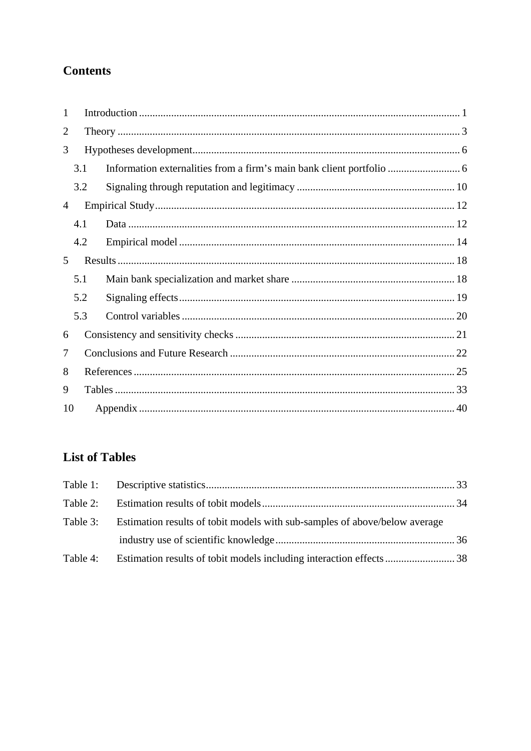## **Contents**

| $\mathbf{1}$ |     |  |
|--------------|-----|--|
| 2            |     |  |
| 3            |     |  |
|              | 3.1 |  |
|              | 3.2 |  |
| 4            |     |  |
|              | 4.1 |  |
|              | 4.2 |  |
| 5            |     |  |
|              | 5.1 |  |
|              | 5.2 |  |
|              | 5.3 |  |
| 6            |     |  |
| 7            |     |  |
| 8            |     |  |
| 9            |     |  |
| 10           |     |  |

# **List of Tables**

|          | Table 3: Estimation results of tobit models with sub-samples of above/below average |  |
|----------|-------------------------------------------------------------------------------------|--|
|          |                                                                                     |  |
| Table 4: |                                                                                     |  |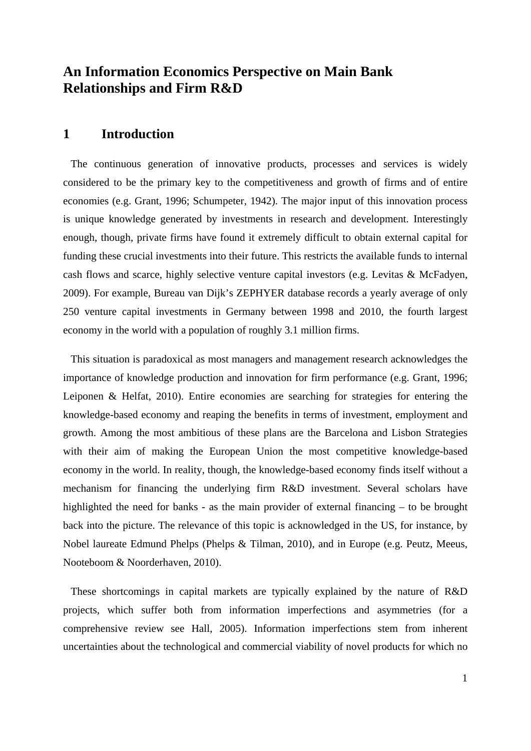## **An Information Economics Perspective on Main Bank Relationships and Firm R&D**

### **1 Introduction**

The continuous generation of innovative products, processes and services is widely considered to be the primary key to the competitiveness and growth of firms and of entire economies (e.g. Grant, 1996; Schumpeter, 1942). The major input of this innovation process is unique knowledge generated by investments in research and development. Interestingly enough, though, private firms have found it extremely difficult to obtain external capital for funding these crucial investments into their future. This restricts the available funds to internal cash flows and scarce, highly selective venture capital investors (e.g. Levitas & McFadyen, 2009). For example, Bureau van Dijk's ZEPHYER database records a yearly average of only 250 venture capital investments in Germany between 1998 and 2010, the fourth largest economy in the world with a population of roughly 3.1 million firms.

This situation is paradoxical as most managers and management research acknowledges the importance of knowledge production and innovation for firm performance (e.g. Grant, 1996; Leiponen & Helfat, 2010). Entire economies are searching for strategies for entering the knowledge-based economy and reaping the benefits in terms of investment, employment and growth. Among the most ambitious of these plans are the Barcelona and Lisbon Strategies with their aim of making the European Union the most competitive knowledge-based economy in the world. In reality, though, the knowledge-based economy finds itself without a mechanism for financing the underlying firm R&D investment. Several scholars have highlighted the need for banks - as the main provider of external financing – to be brought back into the picture. The relevance of this topic is acknowledged in the US, for instance, by Nobel laureate Edmund Phelps (Phelps & Tilman, 2010), and in Europe (e.g. Peutz, Meeus, Nooteboom & Noorderhaven, 2010).

These shortcomings in capital markets are typically explained by the nature of R&D projects, which suffer both from information imperfections and asymmetries (for a comprehensive review see Hall, 2005). Information imperfections stem from inherent uncertainties about the technological and commercial viability of novel products for which no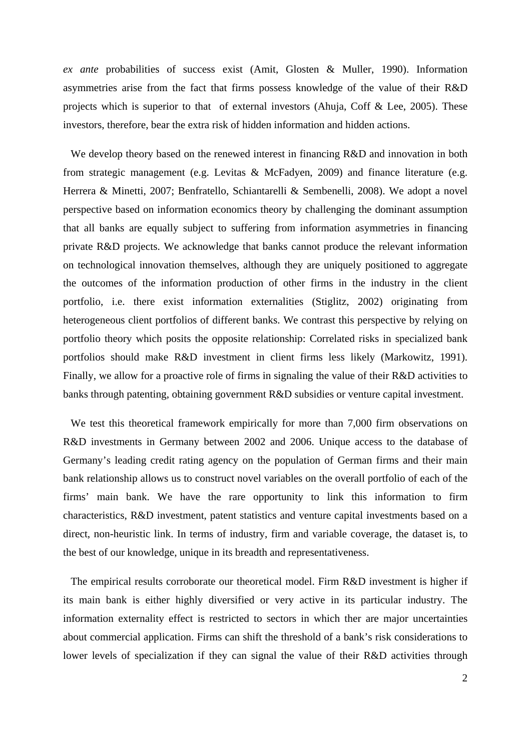*ex ante* probabilities of success exist (Amit, Glosten & Muller, 1990). Information asymmetries arise from the fact that firms possess knowledge of the value of their R&D projects which is superior to that of external investors (Ahuja, Coff & Lee, 2005). These investors, therefore, bear the extra risk of hidden information and hidden actions.

We develop theory based on the renewed interest in financing R&D and innovation in both from strategic management (e.g. Levitas & McFadyen, 2009) and finance literature (e.g. Herrera & Minetti, 2007; Benfratello, Schiantarelli & Sembenelli, 2008). We adopt a novel perspective based on information economics theory by challenging the dominant assumption that all banks are equally subject to suffering from information asymmetries in financing private R&D projects. We acknowledge that banks cannot produce the relevant information on technological innovation themselves, although they are uniquely positioned to aggregate the outcomes of the information production of other firms in the industry in the client portfolio, i.e. there exist information externalities (Stiglitz, 2002) originating from heterogeneous client portfolios of different banks. We contrast this perspective by relying on portfolio theory which posits the opposite relationship: Correlated risks in specialized bank portfolios should make R&D investment in client firms less likely (Markowitz, 1991). Finally, we allow for a proactive role of firms in signaling the value of their R&D activities to banks through patenting, obtaining government R&D subsidies or venture capital investment.

We test this theoretical framework empirically for more than 7,000 firm observations on R&D investments in Germany between 2002 and 2006. Unique access to the database of Germany's leading credit rating agency on the population of German firms and their main bank relationship allows us to construct novel variables on the overall portfolio of each of the firms' main bank. We have the rare opportunity to link this information to firm characteristics, R&D investment, patent statistics and venture capital investments based on a direct, non-heuristic link. In terms of industry, firm and variable coverage, the dataset is, to the best of our knowledge, unique in its breadth and representativeness.

The empirical results corroborate our theoretical model. Firm R&D investment is higher if its main bank is either highly diversified or very active in its particular industry. The information externality effect is restricted to sectors in which ther are major uncertainties about commercial application. Firms can shift the threshold of a bank's risk considerations to lower levels of specialization if they can signal the value of their R&D activities through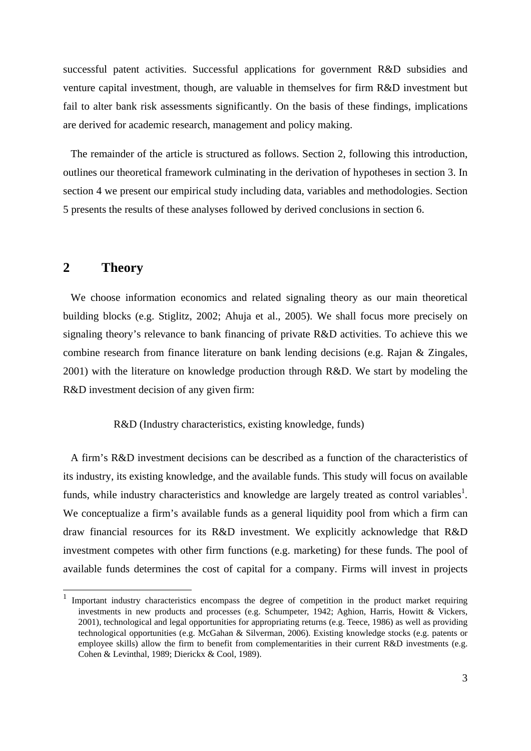successful patent activities. Successful applications for government R&D subsidies and venture capital investment, though, are valuable in themselves for firm R&D investment but fail to alter bank risk assessments significantly. On the basis of these findings, implications are derived for academic research, management and policy making.

The remainder of the article is structured as follows. Section 2, following this introduction, outlines our theoretical framework culminating in the derivation of hypotheses in section 3. In section 4 we present our empirical study including data, variables and methodologies. Section 5 presents the results of these analyses followed by derived conclusions in section 6.

### **2 Theory**

We choose information economics and related signaling theory as our main theoretical building blocks (e.g. Stiglitz, 2002; Ahuja et al., 2005). We shall focus more precisely on signaling theory's relevance to bank financing of private R&D activities. To achieve this we combine research from finance literature on bank lending decisions (e.g. Rajan & Zingales, 2001) with the literature on knowledge production through R&D. We start by modeling the R&D investment decision of any given firm:

### R&D (Industry characteristics, existing knowledge, funds)

A firm's R&D investment decisions can be described as a function of the characteristics of its industry, its existing knowledge, and the available funds. This study will focus on available funds, while industry characteristics and knowledge are largely treated as control variables<sup>1</sup>. We conceptualize a firm's available funds as a general liquidity pool from which a firm can draw financial resources for its R&D investment. We explicitly acknowledge that R&D investment competes with other firm functions (e.g. marketing) for these funds. The pool of available funds determines the cost of capital for a company. Firms will invest in projects

<sup>1</sup> Important industry characteristics encompass the degree of competition in the product market requiring investments in new products and processes (e.g. Schumpeter, 1942; Aghion, Harris, Howitt & Vickers, 2001), technological and legal opportunities for appropriating returns (e.g. Teece, 1986) as well as providing technological opportunities (e.g. McGahan & Silverman, 2006). Existing knowledge stocks (e.g. patents or employee skills) allow the firm to benefit from complementarities in their current R&D investments (e.g. Cohen & Levinthal, 1989; Dierickx & Cool, 1989).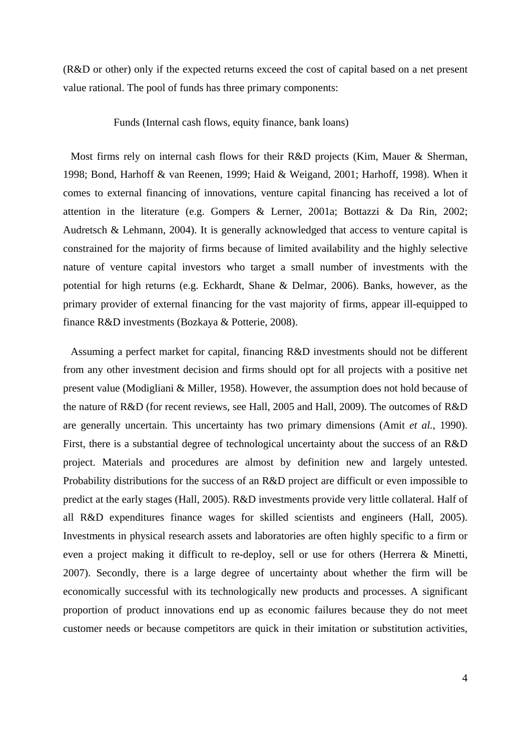(R&D or other) only if the expected returns exceed the cost of capital based on a net present value rational. The pool of funds has three primary components:

Funds (Internal cash flows, equity finance, bank loans)

Most firms rely on internal cash flows for their R&D projects (Kim, Mauer & Sherman, 1998; Bond, Harhoff & van Reenen, 1999; Haid & Weigand, 2001; Harhoff, 1998). When it comes to external financing of innovations, venture capital financing has received a lot of attention in the literature (e.g. Gompers & Lerner, 2001a; Bottazzi & Da Rin, 2002; Audretsch & Lehmann, 2004). It is generally acknowledged that access to venture capital is constrained for the majority of firms because of limited availability and the highly selective nature of venture capital investors who target a small number of investments with the potential for high returns (e.g. Eckhardt, Shane & Delmar, 2006). Banks, however, as the primary provider of external financing for the vast majority of firms, appear ill-equipped to finance R&D investments (Bozkaya & Potterie, 2008).

Assuming a perfect market for capital, financing R&D investments should not be different from any other investment decision and firms should opt for all projects with a positive net present value (Modigliani & Miller, 1958). However, the assumption does not hold because of the nature of R&D (for recent reviews, see Hall, 2005 and Hall, 2009). The outcomes of R&D are generally uncertain. This uncertainty has two primary dimensions (Amit *et al.*, 1990). First, there is a substantial degree of technological uncertainty about the success of an R&D project. Materials and procedures are almost by definition new and largely untested. Probability distributions for the success of an R&D project are difficult or even impossible to predict at the early stages (Hall, 2005). R&D investments provide very little collateral. Half of all R&D expenditures finance wages for skilled scientists and engineers (Hall, 2005). Investments in physical research assets and laboratories are often highly specific to a firm or even a project making it difficult to re-deploy, sell or use for others (Herrera & Minetti, 2007). Secondly, there is a large degree of uncertainty about whether the firm will be economically successful with its technologically new products and processes. A significant proportion of product innovations end up as economic failures because they do not meet customer needs or because competitors are quick in their imitation or substitution activities,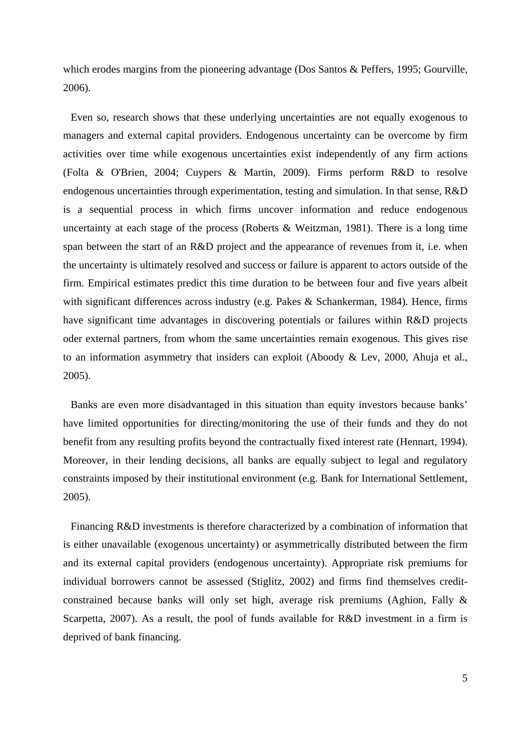which erodes margins from the pioneering advantage (Dos Santos & Peffers, 1995; Gourville, 2006).

Even so, research shows that these underlying uncertainties are not equally exogenous to managers and external capital providers. Endogenous uncertainty can be overcome by firm activities over time while exogenous uncertainties exist independently of any firm actions (Folta & O'Brien, 2004; Cuypers & Martin, 2009). Firms perform R&D to resolve endogenous uncertainties through experimentation, testing and simulation. In that sense, R&D is a sequential process in which firms uncover information and reduce endogenous uncertainty at each stage of the process (Roberts & Weitzman, 1981). There is a long time span between the start of an R&D project and the appearance of revenues from it, i.e. when the uncertainty is ultimately resolved and success or failure is apparent to actors outside of the firm. Empirical estimates predict this time duration to be between four and five years albeit with significant differences across industry (e.g. Pakes & Schankerman, 1984). Hence, firms have significant time advantages in discovering potentials or failures within R&D projects oder external partners, from whom the same uncertainties remain exogenous. This gives rise to an information asymmetry that insiders can exploit (Aboody & Lev, 2000, Ahuja et al., 2005).

Banks are even more disadvantaged in this situation than equity investors because banks' have limited opportunities for directing/monitoring the use of their funds and they do not benefit from any resulting profits beyond the contractually fixed interest rate (Hennart, 1994). Moreover, in their lending decisions, all banks are equally subject to legal and regulatory constraints imposed by their institutional environment (e.g. Bank for International Settlement, 2005).

Financing R&D investments is therefore characterized by a combination of information that is either unavailable (exogenous uncertainty) or asymmetrically distributed between the firm and its external capital providers (endogenous uncertainty). Appropriate risk premiums for individual borrowers cannot be assessed (Stiglitz, 2002) and firms find themselves creditconstrained because banks will only set high, average risk premiums (Aghion, Fally & Scarpetta, 2007). As a result, the pool of funds available for R&D investment in a firm is deprived of bank financing.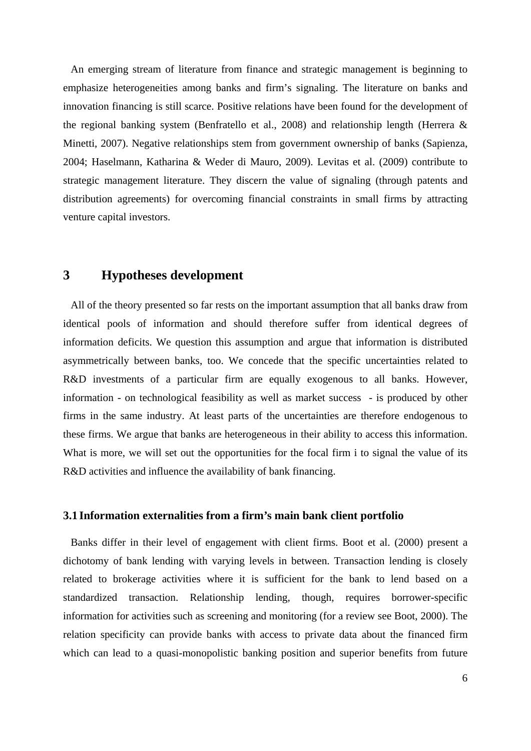An emerging stream of literature from finance and strategic management is beginning to emphasize heterogeneities among banks and firm's signaling. The literature on banks and innovation financing is still scarce. Positive relations have been found for the development of the regional banking system (Benfratello et al., 2008) and relationship length (Herrera & Minetti, 2007). Negative relationships stem from government ownership of banks (Sapienza, 2004; Haselmann, Katharina & Weder di Mauro, 2009). Levitas et al. (2009) contribute to strategic management literature. They discern the value of signaling (through patents and distribution agreements) for overcoming financial constraints in small firms by attracting venture capital investors.

### **3 Hypotheses development**

All of the theory presented so far rests on the important assumption that all banks draw from identical pools of information and should therefore suffer from identical degrees of information deficits. We question this assumption and argue that information is distributed asymmetrically between banks, too. We concede that the specific uncertainties related to R&D investments of a particular firm are equally exogenous to all banks. However, information - on technological feasibility as well as market success - is produced by other firms in the same industry. At least parts of the uncertainties are therefore endogenous to these firms. We argue that banks are heterogeneous in their ability to access this information. What is more, we will set out the opportunities for the focal firm i to signal the value of its R&D activities and influence the availability of bank financing.

### **3.1 Information externalities from a firm's main bank client portfolio**

Banks differ in their level of engagement with client firms. Boot et al. (2000) present a dichotomy of bank lending with varying levels in between. Transaction lending is closely related to brokerage activities where it is sufficient for the bank to lend based on a standardized transaction. Relationship lending, though, requires borrower-specific information for activities such as screening and monitoring (for a review see Boot, 2000). The relation specificity can provide banks with access to private data about the financed firm which can lead to a quasi-monopolistic banking position and superior benefits from future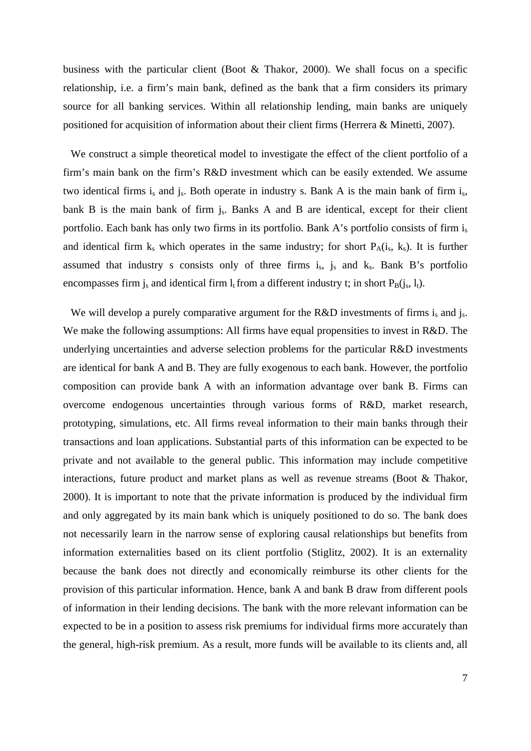business with the particular client (Boot & Thakor, 2000). We shall focus on a specific relationship, i.e. a firm's main bank, defined as the bank that a firm considers its primary source for all banking services. Within all relationship lending, main banks are uniquely positioned for acquisition of information about their client firms (Herrera & Minetti, 2007).

We construct a simple theoretical model to investigate the effect of the client portfolio of a firm's main bank on the firm's R&D investment which can be easily extended. We assume two identical firms  $i_s$  and  $j_s$ . Both operate in industry s. Bank A is the main bank of firm  $i_s$ , bank B is the main bank of firm  $i<sub>s</sub>$ . Banks A and B are identical, except for their client portfolio. Each bank has only two firms in its portfolio. Bank A's portfolio consists of firm is and identical firm  $k_s$  which operates in the same industry; for short  $P_A(i_s, k_s)$ . It is further assumed that industry s consists only of three firms i<sub>s</sub>, j<sub>s</sub> and k<sub>s</sub>. Bank B's portfolio encompasses firm  $j_s$  and identical firm  $l_t$  from a different industry t; in short  $P_B(j_s, l_t)$ .

We will develop a purely comparative argument for the R&D investments of firms  $i_s$  and  $j_s$ . We make the following assumptions: All firms have equal propensities to invest in R&D. The underlying uncertainties and adverse selection problems for the particular R&D investments are identical for bank A and B. They are fully exogenous to each bank. However, the portfolio composition can provide bank A with an information advantage over bank B. Firms can overcome endogenous uncertainties through various forms of R&D, market research, prototyping, simulations, etc. All firms reveal information to their main banks through their transactions and loan applications. Substantial parts of this information can be expected to be private and not available to the general public. This information may include competitive interactions, future product and market plans as well as revenue streams (Boot & Thakor, 2000). It is important to note that the private information is produced by the individual firm and only aggregated by its main bank which is uniquely positioned to do so. The bank does not necessarily learn in the narrow sense of exploring causal relationships but benefits from information externalities based on its client portfolio (Stiglitz, 2002). It is an externality because the bank does not directly and economically reimburse its other clients for the provision of this particular information. Hence, bank A and bank B draw from different pools of information in their lending decisions. The bank with the more relevant information can be expected to be in a position to assess risk premiums for individual firms more accurately than the general, high-risk premium. As a result, more funds will be available to its clients and, all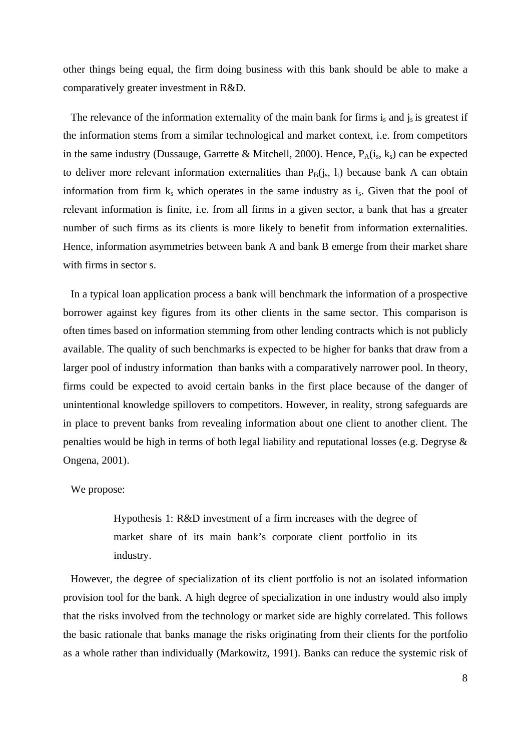other things being equal, the firm doing business with this bank should be able to make a comparatively greater investment in R&D.

The relevance of the information externality of the main bank for firms  $i_s$  and  $j_s$  is greatest if the information stems from a similar technological and market context, i.e. from competitors in the same industry (Dussauge, Garrette & Mitchell, 2000). Hence,  $P_A(i_s, k_s)$  can be expected to deliver more relevant information externalities than  $P_B(j_s, l_t)$  because bank A can obtain information from firm  $k_s$  which operates in the same industry as i<sub>s</sub>. Given that the pool of relevant information is finite, i.e. from all firms in a given sector, a bank that has a greater number of such firms as its clients is more likely to benefit from information externalities. Hence, information asymmetries between bank A and bank B emerge from their market share with firms in sector s.

In a typical loan application process a bank will benchmark the information of a prospective borrower against key figures from its other clients in the same sector. This comparison is often times based on information stemming from other lending contracts which is not publicly available. The quality of such benchmarks is expected to be higher for banks that draw from a larger pool of industry information than banks with a comparatively narrower pool. In theory, firms could be expected to avoid certain banks in the first place because of the danger of unintentional knowledge spillovers to competitors. However, in reality, strong safeguards are in place to prevent banks from revealing information about one client to another client. The penalties would be high in terms of both legal liability and reputational losses (e.g. Degryse & Ongena, 2001).

#### We propose:

Hypothesis 1: R&D investment of a firm increases with the degree of market share of its main bank's corporate client portfolio in its industry.

However, the degree of specialization of its client portfolio is not an isolated information provision tool for the bank. A high degree of specialization in one industry would also imply that the risks involved from the technology or market side are highly correlated. This follows the basic rationale that banks manage the risks originating from their clients for the portfolio as a whole rather than individually (Markowitz, 1991). Banks can reduce the systemic risk of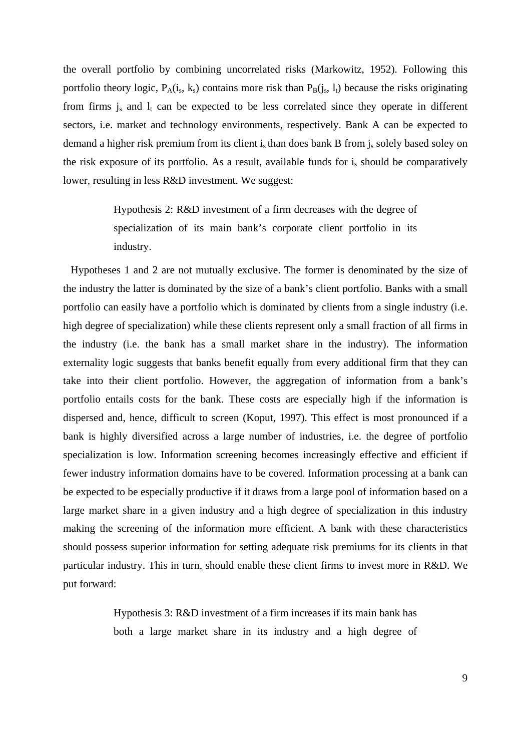the overall portfolio by combining uncorrelated risks (Markowitz, 1952). Following this portfolio theory logic,  $P_A(i_s, k_s)$  contains more risk than  $P_B(j_s, l_t)$  because the risks originating from firms  $j_s$  and  $l_t$  can be expected to be less correlated since they operate in different sectors, i.e. market and technology environments, respectively. Bank A can be expected to demand a higher risk premium from its client i<sub>s</sub> than does bank B from j<sub>s</sub> solely based soley on the risk exposure of its portfolio. As a result, available funds for  $i_s$  should be comparatively lower, resulting in less R&D investment. We suggest:

> Hypothesis 2: R&D investment of a firm decreases with the degree of specialization of its main bank's corporate client portfolio in its industry.

Hypotheses 1 and 2 are not mutually exclusive. The former is denominated by the size of the industry the latter is dominated by the size of a bank's client portfolio. Banks with a small portfolio can easily have a portfolio which is dominated by clients from a single industry (i.e. high degree of specialization) while these clients represent only a small fraction of all firms in the industry (i.e. the bank has a small market share in the industry). The information externality logic suggests that banks benefit equally from every additional firm that they can take into their client portfolio. However, the aggregation of information from a bank's portfolio entails costs for the bank. These costs are especially high if the information is dispersed and, hence, difficult to screen (Koput, 1997). This effect is most pronounced if a bank is highly diversified across a large number of industries, i.e. the degree of portfolio specialization is low. Information screening becomes increasingly effective and efficient if fewer industry information domains have to be covered. Information processing at a bank can be expected to be especially productive if it draws from a large pool of information based on a large market share in a given industry and a high degree of specialization in this industry making the screening of the information more efficient. A bank with these characteristics should possess superior information for setting adequate risk premiums for its clients in that particular industry. This in turn, should enable these client firms to invest more in R&D. We put forward:

> Hypothesis 3: R&D investment of a firm increases if its main bank has both a large market share in its industry and a high degree of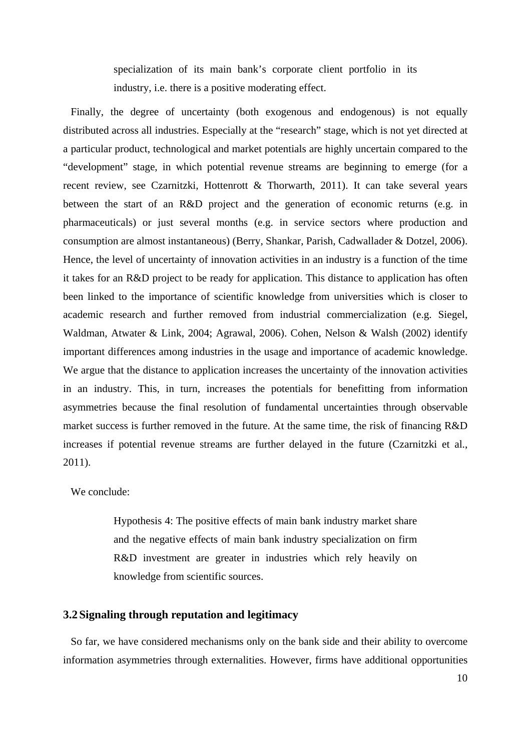specialization of its main bank's corporate client portfolio in its industry, i.e. there is a positive moderating effect.

Finally, the degree of uncertainty (both exogenous and endogenous) is not equally distributed across all industries. Especially at the "research" stage, which is not yet directed at a particular product, technological and market potentials are highly uncertain compared to the "development" stage, in which potential revenue streams are beginning to emerge (for a recent review, see Czarnitzki, Hottenrott & Thorwarth, 2011). It can take several years between the start of an R&D project and the generation of economic returns (e.g. in pharmaceuticals) or just several months (e.g. in service sectors where production and consumption are almost instantaneous) (Berry, Shankar, Parish, Cadwallader & Dotzel, 2006). Hence, the level of uncertainty of innovation activities in an industry is a function of the time it takes for an R&D project to be ready for application. This distance to application has often been linked to the importance of scientific knowledge from universities which is closer to academic research and further removed from industrial commercialization (e.g. Siegel, Waldman, Atwater & Link, 2004; Agrawal, 2006). Cohen, Nelson & Walsh (2002) identify important differences among industries in the usage and importance of academic knowledge. We argue that the distance to application increases the uncertainty of the innovation activities in an industry. This, in turn, increases the potentials for benefitting from information asymmetries because the final resolution of fundamental uncertainties through observable market success is further removed in the future. At the same time, the risk of financing R&D increases if potential revenue streams are further delayed in the future (Czarnitzki et al., 2011).

#### We conclude:

Hypothesis 4: The positive effects of main bank industry market share and the negative effects of main bank industry specialization on firm R&D investment are greater in industries which rely heavily on knowledge from scientific sources.

### **3.2Signaling through reputation and legitimacy**

So far, we have considered mechanisms only on the bank side and their ability to overcome information asymmetries through externalities. However, firms have additional opportunities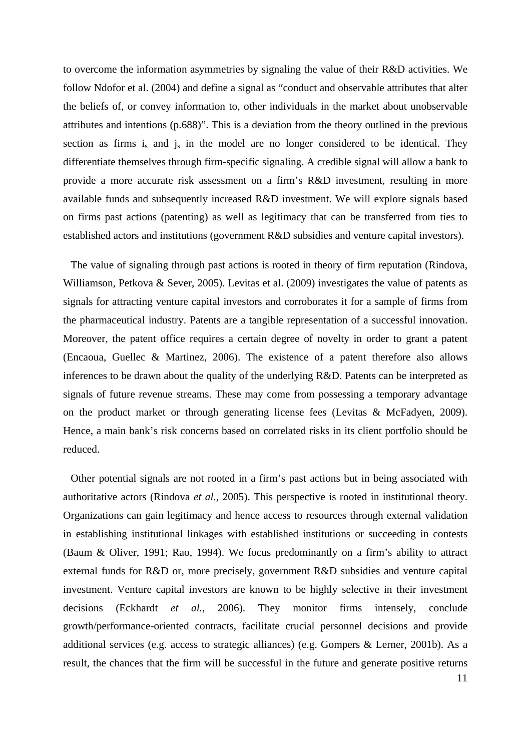to overcome the information asymmetries by signaling the value of their R&D activities. We follow Ndofor et al. (2004) and define a signal as "conduct and observable attributes that alter the beliefs of, or convey information to, other individuals in the market about unobservable attributes and intentions (p.688)". This is a deviation from the theory outlined in the previous section as firms  $i_s$  and  $j_s$  in the model are no longer considered to be identical. They differentiate themselves through firm-specific signaling. A credible signal will allow a bank to provide a more accurate risk assessment on a firm's R&D investment, resulting in more available funds and subsequently increased R&D investment. We will explore signals based on firms past actions (patenting) as well as legitimacy that can be transferred from ties to established actors and institutions (government R&D subsidies and venture capital investors).

The value of signaling through past actions is rooted in theory of firm reputation (Rindova, Williamson, Petkova & Sever, 2005). Levitas et al. (2009) investigates the value of patents as signals for attracting venture capital investors and corroborates it for a sample of firms from the pharmaceutical industry. Patents are a tangible representation of a successful innovation. Moreover, the patent office requires a certain degree of novelty in order to grant a patent (Encaoua, Guellec & Martinez, 2006). The existence of a patent therefore also allows inferences to be drawn about the quality of the underlying R&D. Patents can be interpreted as signals of future revenue streams. These may come from possessing a temporary advantage on the product market or through generating license fees (Levitas & McFadyen, 2009). Hence, a main bank's risk concerns based on correlated risks in its client portfolio should be reduced.

Other potential signals are not rooted in a firm's past actions but in being associated with authoritative actors (Rindova *et al.*, 2005). This perspective is rooted in institutional theory. Organizations can gain legitimacy and hence access to resources through external validation in establishing institutional linkages with established institutions or succeeding in contests (Baum & Oliver, 1991; Rao, 1994). We focus predominantly on a firm's ability to attract external funds for R&D or, more precisely, government R&D subsidies and venture capital investment. Venture capital investors are known to be highly selective in their investment decisions (Eckhardt *et al.*, 2006). They monitor firms intensely, conclude growth/performance-oriented contracts, facilitate crucial personnel decisions and provide additional services (e.g. access to strategic alliances) (e.g. Gompers & Lerner, 2001b). As a result, the chances that the firm will be successful in the future and generate positive returns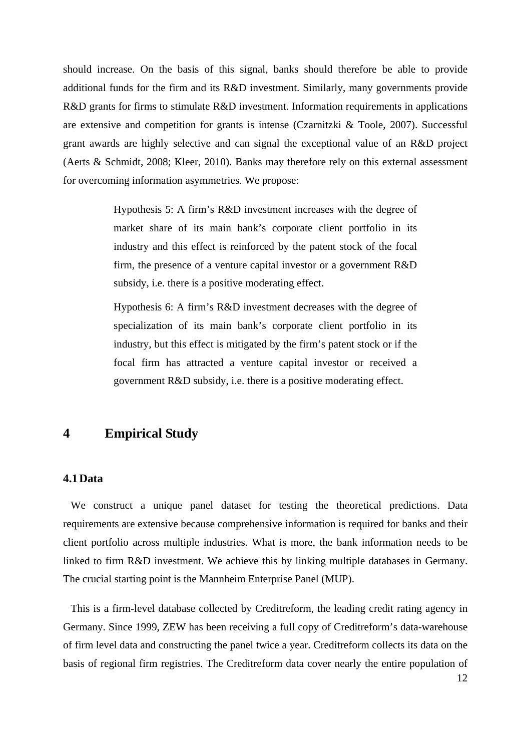should increase. On the basis of this signal, banks should therefore be able to provide additional funds for the firm and its R&D investment. Similarly, many governments provide R&D grants for firms to stimulate R&D investment. Information requirements in applications are extensive and competition for grants is intense (Czarnitzki & Toole, 2007). Successful grant awards are highly selective and can signal the exceptional value of an R&D project (Aerts & Schmidt, 2008; Kleer, 2010). Banks may therefore rely on this external assessment for overcoming information asymmetries. We propose:

> Hypothesis 5: A firm's R&D investment increases with the degree of market share of its main bank's corporate client portfolio in its industry and this effect is reinforced by the patent stock of the focal firm, the presence of a venture capital investor or a government R&D subsidy, i.e. there is a positive moderating effect.

> Hypothesis 6: A firm's R&D investment decreases with the degree of specialization of its main bank's corporate client portfolio in its industry, but this effect is mitigated by the firm's patent stock or if the focal firm has attracted a venture capital investor or received a government R&D subsidy, i.e. there is a positive moderating effect.

### **4 Empirical Study**

### **4.1Data**

We construct a unique panel dataset for testing the theoretical predictions. Data requirements are extensive because comprehensive information is required for banks and their client portfolio across multiple industries. What is more, the bank information needs to be linked to firm R&D investment. We achieve this by linking multiple databases in Germany. The crucial starting point is the Mannheim Enterprise Panel (MUP).

This is a firm-level database collected by Creditreform, the leading credit rating agency in Germany. Since 1999, ZEW has been receiving a full copy of Creditreform's data-warehouse of firm level data and constructing the panel twice a year. Creditreform collects its data on the basis of regional firm registries. The Creditreform data cover nearly the entire population of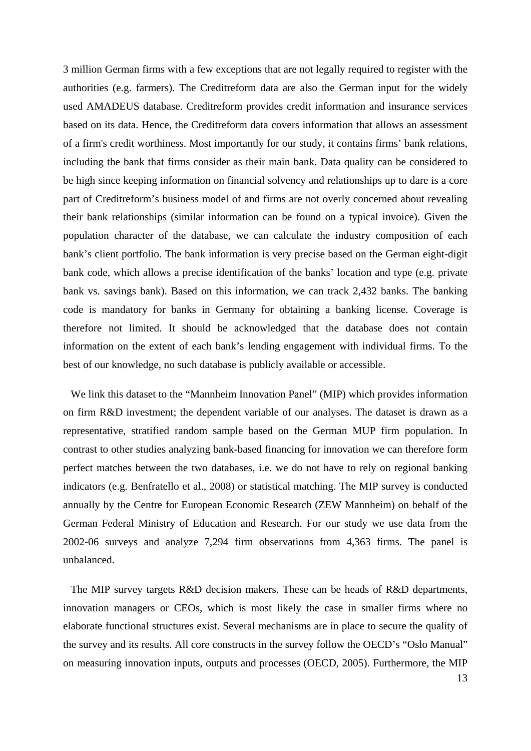3 million German firms with a few exceptions that are not legally required to register with the authorities (e.g. farmers). The Creditreform data are also the German input for the widely used AMADEUS database. Creditreform provides credit information and insurance services based on its data. Hence, the Creditreform data covers information that allows an assessment of a firm's credit worthiness. Most importantly for our study, it contains firms' bank relations, including the bank that firms consider as their main bank. Data quality can be considered to be high since keeping information on financial solvency and relationships up to dare is a core part of Creditreform's business model of and firms are not overly concerned about revealing their bank relationships (similar information can be found on a typical invoice). Given the population character of the database, we can calculate the industry composition of each bank's client portfolio. The bank information is very precise based on the German eight-digit bank code, which allows a precise identification of the banks' location and type (e.g. private bank vs. savings bank). Based on this information, we can track 2,432 banks. The banking code is mandatory for banks in Germany for obtaining a banking license. Coverage is therefore not limited. It should be acknowledged that the database does not contain information on the extent of each bank's lending engagement with individual firms. To the best of our knowledge, no such database is publicly available or accessible.

We link this dataset to the "Mannheim Innovation Panel" (MIP) which provides information on firm R&D investment; the dependent variable of our analyses. The dataset is drawn as a representative, stratified random sample based on the German MUP firm population. In contrast to other studies analyzing bank-based financing for innovation we can therefore form perfect matches between the two databases, i.e. we do not have to rely on regional banking indicators (e.g. Benfratello et al., 2008) or statistical matching. The MIP survey is conducted annually by the Centre for European Economic Research (ZEW Mannheim) on behalf of the German Federal Ministry of Education and Research. For our study we use data from the 2002-06 surveys and analyze 7,294 firm observations from 4,363 firms. The panel is unbalanced.

The MIP survey targets R&D decision makers. These can be heads of R&D departments, innovation managers or CEOs, which is most likely the case in smaller firms where no elaborate functional structures exist. Several mechanisms are in place to secure the quality of the survey and its results. All core constructs in the survey follow the OECD's "Oslo Manual" on measuring innovation inputs, outputs and processes (OECD, 2005). Furthermore, the MIP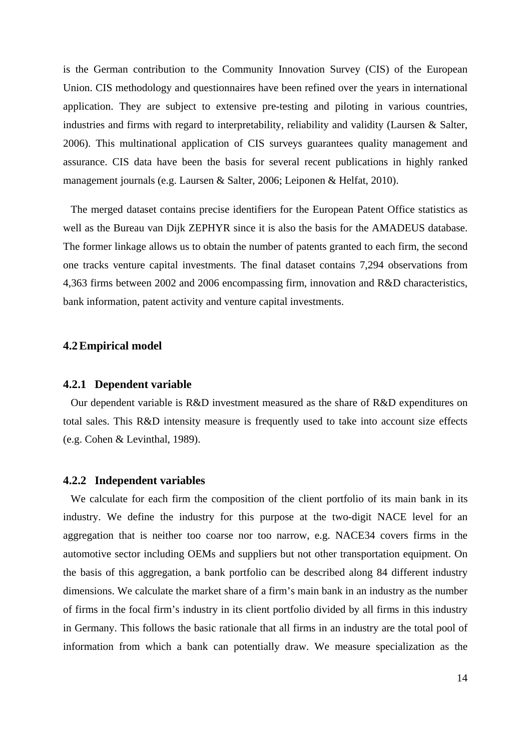is the German contribution to the Community Innovation Survey (CIS) of the European Union. CIS methodology and questionnaires have been refined over the years in international application. They are subject to extensive pre-testing and piloting in various countries, industries and firms with regard to interpretability, reliability and validity (Laursen & Salter, 2006). This multinational application of CIS surveys guarantees quality management and assurance. CIS data have been the basis for several recent publications in highly ranked management journals (e.g. Laursen & Salter, 2006; Leiponen & Helfat, 2010).

The merged dataset contains precise identifiers for the European Patent Office statistics as well as the Bureau van Dijk ZEPHYR since it is also the basis for the AMADEUS database. The former linkage allows us to obtain the number of patents granted to each firm, the second one tracks venture capital investments. The final dataset contains 7,294 observations from 4,363 firms between 2002 and 2006 encompassing firm, innovation and R&D characteristics, bank information, patent activity and venture capital investments.

### **4.2Empirical model**

#### **4.2.1 Dependent variable**

Our dependent variable is R&D investment measured as the share of R&D expenditures on total sales. This R&D intensity measure is frequently used to take into account size effects (e.g. Cohen & Levinthal, 1989).

#### **4.2.2 Independent variables**

We calculate for each firm the composition of the client portfolio of its main bank in its industry. We define the industry for this purpose at the two-digit NACE level for an aggregation that is neither too coarse nor too narrow, e.g. NACE34 covers firms in the automotive sector including OEMs and suppliers but not other transportation equipment. On the basis of this aggregation, a bank portfolio can be described along 84 different industry dimensions. We calculate the market share of a firm's main bank in an industry as the number of firms in the focal firm's industry in its client portfolio divided by all firms in this industry in Germany. This follows the basic rationale that all firms in an industry are the total pool of information from which a bank can potentially draw. We measure specialization as the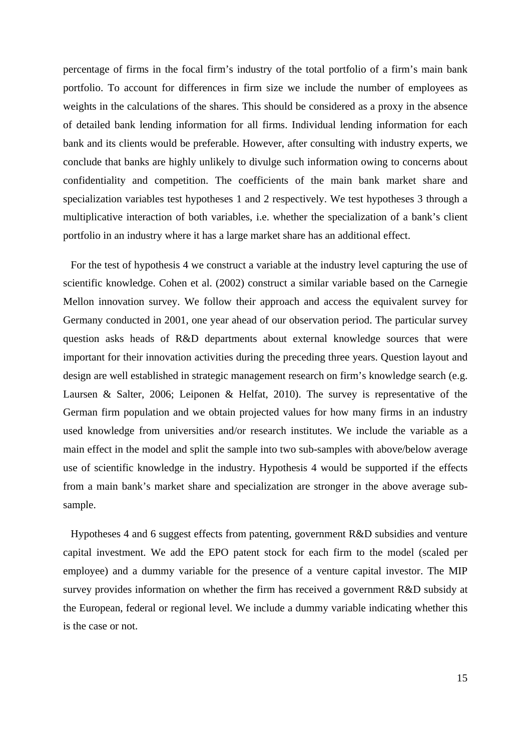percentage of firms in the focal firm's industry of the total portfolio of a firm's main bank portfolio. To account for differences in firm size we include the number of employees as weights in the calculations of the shares. This should be considered as a proxy in the absence of detailed bank lending information for all firms. Individual lending information for each bank and its clients would be preferable. However, after consulting with industry experts, we conclude that banks are highly unlikely to divulge such information owing to concerns about confidentiality and competition. The coefficients of the main bank market share and specialization variables test hypotheses 1 and 2 respectively. We test hypotheses 3 through a multiplicative interaction of both variables, i.e. whether the specialization of a bank's client portfolio in an industry where it has a large market share has an additional effect.

For the test of hypothesis 4 we construct a variable at the industry level capturing the use of scientific knowledge. Cohen et al. (2002) construct a similar variable based on the Carnegie Mellon innovation survey. We follow their approach and access the equivalent survey for Germany conducted in 2001, one year ahead of our observation period. The particular survey question asks heads of R&D departments about external knowledge sources that were important for their innovation activities during the preceding three years. Question layout and design are well established in strategic management research on firm's knowledge search (e.g. Laursen & Salter, 2006; Leiponen & Helfat, 2010). The survey is representative of the German firm population and we obtain projected values for how many firms in an industry used knowledge from universities and/or research institutes. We include the variable as a main effect in the model and split the sample into two sub-samples with above/below average use of scientific knowledge in the industry. Hypothesis 4 would be supported if the effects from a main bank's market share and specialization are stronger in the above average subsample.

Hypotheses 4 and 6 suggest effects from patenting, government R&D subsidies and venture capital investment. We add the EPO patent stock for each firm to the model (scaled per employee) and a dummy variable for the presence of a venture capital investor. The MIP survey provides information on whether the firm has received a government R&D subsidy at the European, federal or regional level. We include a dummy variable indicating whether this is the case or not.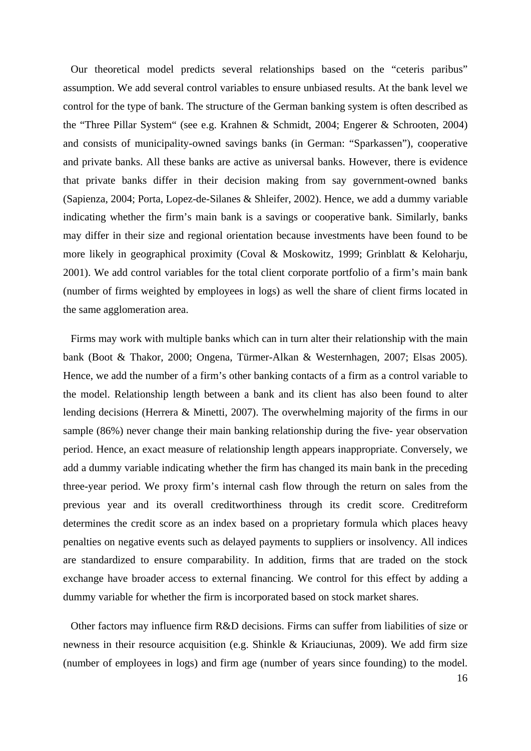Our theoretical model predicts several relationships based on the "ceteris paribus" assumption. We add several control variables to ensure unbiased results. At the bank level we control for the type of bank. The structure of the German banking system is often described as the "Three Pillar System" (see e.g. Krahnen & Schmidt, 2004; Engerer & Schrooten, 2004) and consists of municipality-owned savings banks (in German: "Sparkassen"), cooperative and private banks. All these banks are active as universal banks. However, there is evidence that private banks differ in their decision making from say government-owned banks (Sapienza, 2004; Porta, Lopez-de-Silanes & Shleifer, 2002). Hence, we add a dummy variable indicating whether the firm's main bank is a savings or cooperative bank. Similarly, banks may differ in their size and regional orientation because investments have been found to be more likely in geographical proximity (Coval & Moskowitz, 1999; Grinblatt & Keloharju, 2001). We add control variables for the total client corporate portfolio of a firm's main bank (number of firms weighted by employees in logs) as well the share of client firms located in the same agglomeration area.

Firms may work with multiple banks which can in turn alter their relationship with the main bank (Boot & Thakor, 2000; Ongena, Türmer-Alkan & Westernhagen, 2007; Elsas 2005). Hence, we add the number of a firm's other banking contacts of a firm as a control variable to the model. Relationship length between a bank and its client has also been found to alter lending decisions (Herrera & Minetti, 2007). The overwhelming majority of the firms in our sample (86%) never change their main banking relationship during the five- year observation period. Hence, an exact measure of relationship length appears inappropriate. Conversely, we add a dummy variable indicating whether the firm has changed its main bank in the preceding three-year period. We proxy firm's internal cash flow through the return on sales from the previous year and its overall creditworthiness through its credit score. Creditreform determines the credit score as an index based on a proprietary formula which places heavy penalties on negative events such as delayed payments to suppliers or insolvency. All indices are standardized to ensure comparability. In addition, firms that are traded on the stock exchange have broader access to external financing. We control for this effect by adding a dummy variable for whether the firm is incorporated based on stock market shares.

Other factors may influence firm R&D decisions. Firms can suffer from liabilities of size or newness in their resource acquisition (e.g. Shinkle & Kriauciunas, 2009). We add firm size (number of employees in logs) and firm age (number of years since founding) to the model.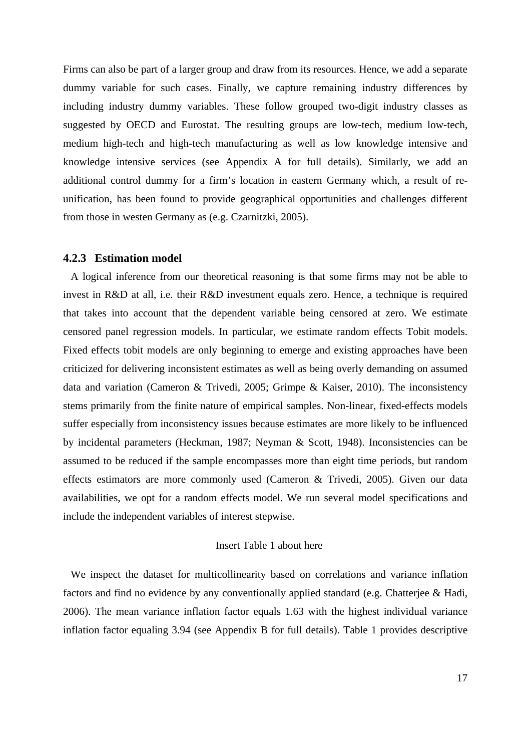Firms can also be part of a larger group and draw from its resources. Hence, we add a separate dummy variable for such cases. Finally, we capture remaining industry differences by including industry dummy variables. These follow grouped two-digit industry classes as suggested by OECD and Eurostat. The resulting groups are low-tech, medium low-tech, medium high-tech and high-tech manufacturing as well as low knowledge intensive and knowledge intensive services (see Appendix A for full details). Similarly, we add an additional control dummy for a firm's location in eastern Germany which, a result of reunification, has been found to provide geographical opportunities and challenges different from those in westen Germany as (e.g. Czarnitzki, 2005).

#### **4.2.3 Estimation model**

A logical inference from our theoretical reasoning is that some firms may not be able to invest in R&D at all, i.e. their R&D investment equals zero. Hence, a technique is required that takes into account that the dependent variable being censored at zero. We estimate censored panel regression models. In particular, we estimate random effects Tobit models. Fixed effects tobit models are only beginning to emerge and existing approaches have been criticized for delivering inconsistent estimates as well as being overly demanding on assumed data and variation (Cameron & Trivedi, 2005; Grimpe & Kaiser, 2010). The inconsistency stems primarily from the finite nature of empirical samples. Non-linear, fixed-effects models suffer especially from inconsistency issues because estimates are more likely to be influenced by incidental parameters (Heckman, 1987; Neyman & Scott, 1948). Inconsistencies can be assumed to be reduced if the sample encompasses more than eight time periods, but random effects estimators are more commonly used (Cameron & Trivedi, 2005). Given our data availabilities, we opt for a random effects model. We run several model specifications and include the independent variables of interest stepwise.

#### Insert Table 1 about here

We inspect the dataset for multicollinearity based on correlations and variance inflation factors and find no evidence by any conventionally applied standard (e.g. Chatterjee & Hadi, 2006). The mean variance inflation factor equals 1.63 with the highest individual variance inflation factor equaling 3.94 (see Appendix B for full details). Table 1 provides descriptive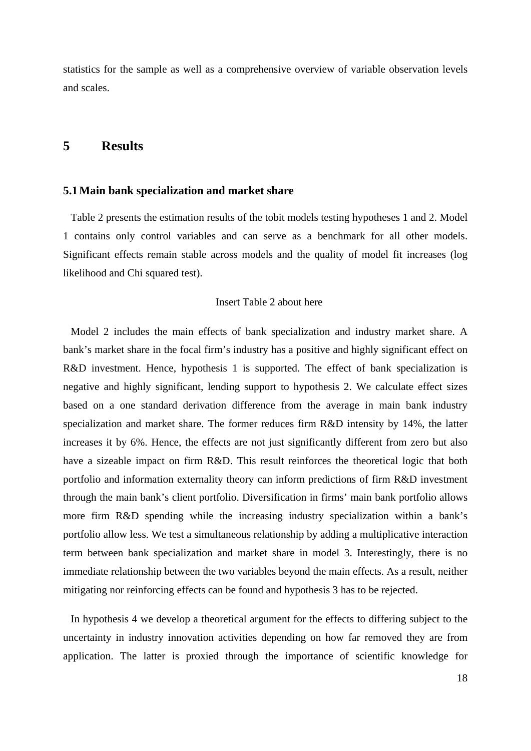statistics for the sample as well as a comprehensive overview of variable observation levels and scales.

### **5 Results**

#### **5.1Main bank specialization and market share**

Table 2 presents the estimation results of the tobit models testing hypotheses 1 and 2. Model 1 contains only control variables and can serve as a benchmark for all other models. Significant effects remain stable across models and the quality of model fit increases (log likelihood and Chi squared test).

#### Insert Table 2 about here

Model 2 includes the main effects of bank specialization and industry market share. A bank's market share in the focal firm's industry has a positive and highly significant effect on R&D investment. Hence, hypothesis 1 is supported. The effect of bank specialization is negative and highly significant, lending support to hypothesis 2. We calculate effect sizes based on a one standard derivation difference from the average in main bank industry specialization and market share. The former reduces firm R&D intensity by 14%, the latter increases it by 6%. Hence, the effects are not just significantly different from zero but also have a sizeable impact on firm R&D. This result reinforces the theoretical logic that both portfolio and information externality theory can inform predictions of firm R&D investment through the main bank's client portfolio. Diversification in firms' main bank portfolio allows more firm R&D spending while the increasing industry specialization within a bank's portfolio allow less. We test a simultaneous relationship by adding a multiplicative interaction term between bank specialization and market share in model 3. Interestingly, there is no immediate relationship between the two variables beyond the main effects. As a result, neither mitigating nor reinforcing effects can be found and hypothesis 3 has to be rejected.

In hypothesis 4 we develop a theoretical argument for the effects to differing subject to the uncertainty in industry innovation activities depending on how far removed they are from application. The latter is proxied through the importance of scientific knowledge for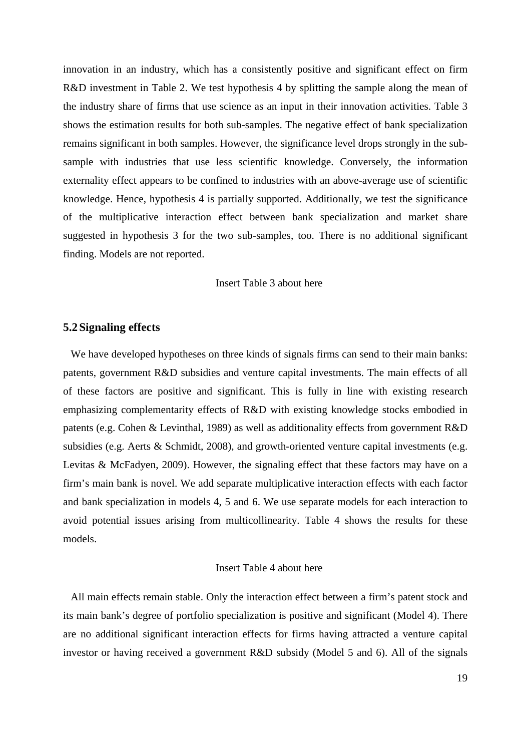innovation in an industry, which has a consistently positive and significant effect on firm R&D investment in Table 2. We test hypothesis 4 by splitting the sample along the mean of the industry share of firms that use science as an input in their innovation activities. Table 3 shows the estimation results for both sub-samples. The negative effect of bank specialization remains significant in both samples. However, the significance level drops strongly in the subsample with industries that use less scientific knowledge. Conversely, the information externality effect appears to be confined to industries with an above-average use of scientific knowledge. Hence, hypothesis 4 is partially supported. Additionally, we test the significance of the multiplicative interaction effect between bank specialization and market share suggested in hypothesis 3 for the two sub-samples, too. There is no additional significant finding. Models are not reported.

Insert Table 3 about here

### **5.2Signaling effects**

We have developed hypotheses on three kinds of signals firms can send to their main banks: patents, government R&D subsidies and venture capital investments. The main effects of all of these factors are positive and significant. This is fully in line with existing research emphasizing complementarity effects of R&D with existing knowledge stocks embodied in patents (e.g. Cohen & Levinthal, 1989) as well as additionality effects from government R&D subsidies (e.g. Aerts & Schmidt, 2008), and growth-oriented venture capital investments (e.g. Levitas & McFadyen, 2009). However, the signaling effect that these factors may have on a firm's main bank is novel. We add separate multiplicative interaction effects with each factor and bank specialization in models 4, 5 and 6. We use separate models for each interaction to avoid potential issues arising from multicollinearity. Table 4 shows the results for these models.

#### Insert Table 4 about here

All main effects remain stable. Only the interaction effect between a firm's patent stock and its main bank's degree of portfolio specialization is positive and significant (Model 4). There are no additional significant interaction effects for firms having attracted a venture capital investor or having received a government R&D subsidy (Model 5 and 6). All of the signals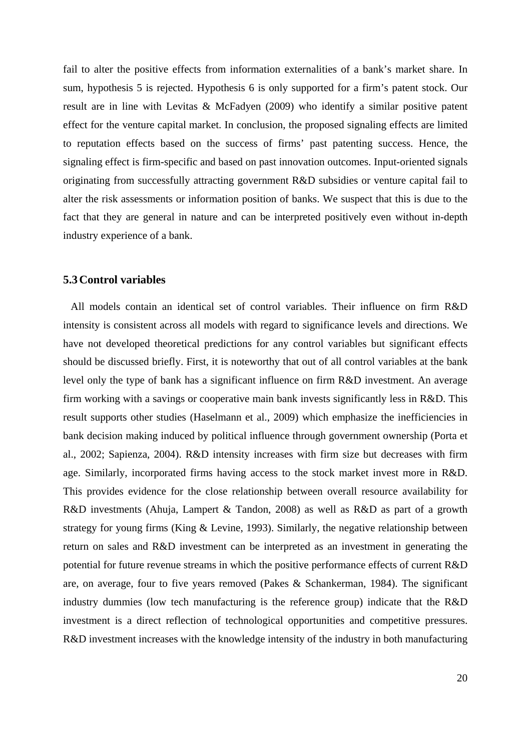fail to alter the positive effects from information externalities of a bank's market share. In sum, hypothesis 5 is rejected. Hypothesis 6 is only supported for a firm's patent stock. Our result are in line with Levitas & McFadyen (2009) who identify a similar positive patent effect for the venture capital market. In conclusion, the proposed signaling effects are limited to reputation effects based on the success of firms' past patenting success. Hence, the signaling effect is firm-specific and based on past innovation outcomes. Input-oriented signals originating from successfully attracting government R&D subsidies or venture capital fail to alter the risk assessments or information position of banks. We suspect that this is due to the fact that they are general in nature and can be interpreted positively even without in-depth industry experience of a bank.

### **5.3Control variables**

All models contain an identical set of control variables. Their influence on firm R&D intensity is consistent across all models with regard to significance levels and directions. We have not developed theoretical predictions for any control variables but significant effects should be discussed briefly. First, it is noteworthy that out of all control variables at the bank level only the type of bank has a significant influence on firm R&D investment. An average firm working with a savings or cooperative main bank invests significantly less in R&D. This result supports other studies (Haselmann et al., 2009) which emphasize the inefficiencies in bank decision making induced by political influence through government ownership (Porta et al., 2002; Sapienza, 2004). R&D intensity increases with firm size but decreases with firm age. Similarly, incorporated firms having access to the stock market invest more in R&D. This provides evidence for the close relationship between overall resource availability for R&D investments (Ahuja, Lampert & Tandon, 2008) as well as R&D as part of a growth strategy for young firms (King & Levine, 1993). Similarly, the negative relationship between return on sales and R&D investment can be interpreted as an investment in generating the potential for future revenue streams in which the positive performance effects of current R&D are, on average, four to five years removed (Pakes & Schankerman, 1984). The significant industry dummies (low tech manufacturing is the reference group) indicate that the R&D investment is a direct reflection of technological opportunities and competitive pressures. R&D investment increases with the knowledge intensity of the industry in both manufacturing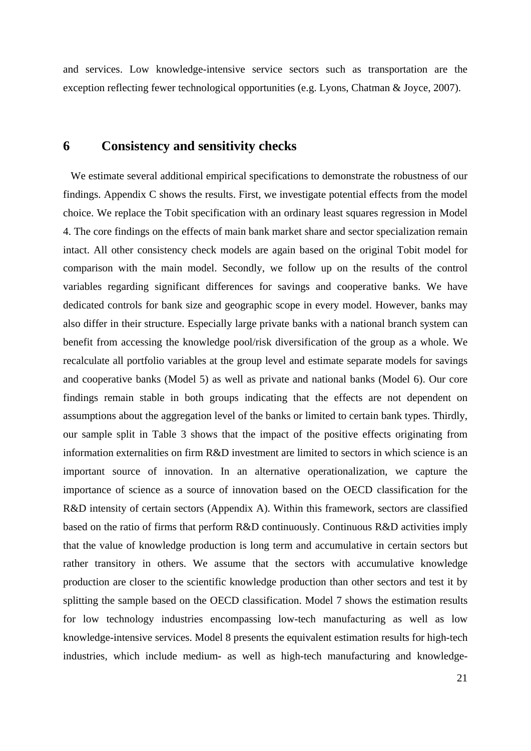and services. Low knowledge-intensive service sectors such as transportation are the exception reflecting fewer technological opportunities (e.g. Lyons, Chatman & Joyce, 2007).

### **6 Consistency and sensitivity checks**

We estimate several additional empirical specifications to demonstrate the robustness of our findings. Appendix C shows the results. First, we investigate potential effects from the model choice. We replace the Tobit specification with an ordinary least squares regression in Model 4. The core findings on the effects of main bank market share and sector specialization remain intact. All other consistency check models are again based on the original Tobit model for comparison with the main model. Secondly, we follow up on the results of the control variables regarding significant differences for savings and cooperative banks. We have dedicated controls for bank size and geographic scope in every model. However, banks may also differ in their structure. Especially large private banks with a national branch system can benefit from accessing the knowledge pool/risk diversification of the group as a whole. We recalculate all portfolio variables at the group level and estimate separate models for savings and cooperative banks (Model 5) as well as private and national banks (Model 6). Our core findings remain stable in both groups indicating that the effects are not dependent on assumptions about the aggregation level of the banks or limited to certain bank types. Thirdly, our sample split in Table 3 shows that the impact of the positive effects originating from information externalities on firm R&D investment are limited to sectors in which science is an important source of innovation. In an alternative operationalization, we capture the importance of science as a source of innovation based on the OECD classification for the R&D intensity of certain sectors (Appendix A). Within this framework, sectors are classified based on the ratio of firms that perform R&D continuously. Continuous R&D activities imply that the value of knowledge production is long term and accumulative in certain sectors but rather transitory in others. We assume that the sectors with accumulative knowledge production are closer to the scientific knowledge production than other sectors and test it by splitting the sample based on the OECD classification. Model 7 shows the estimation results for low technology industries encompassing low-tech manufacturing as well as low knowledge-intensive services. Model 8 presents the equivalent estimation results for high-tech industries, which include medium- as well as high-tech manufacturing and knowledge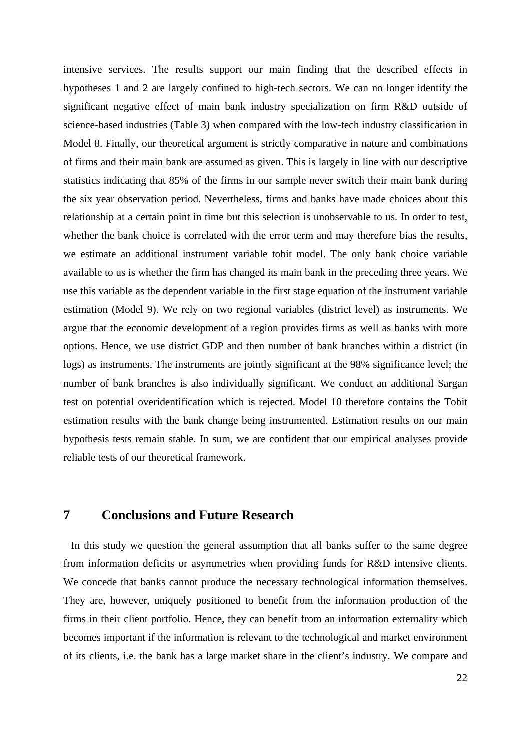intensive services. The results support our main finding that the described effects in hypotheses 1 and 2 are largely confined to high-tech sectors. We can no longer identify the significant negative effect of main bank industry specialization on firm R&D outside of science-based industries (Table 3) when compared with the low-tech industry classification in Model 8. Finally, our theoretical argument is strictly comparative in nature and combinations of firms and their main bank are assumed as given. This is largely in line with our descriptive statistics indicating that 85% of the firms in our sample never switch their main bank during the six year observation period. Nevertheless, firms and banks have made choices about this relationship at a certain point in time but this selection is unobservable to us. In order to test, whether the bank choice is correlated with the error term and may therefore bias the results, we estimate an additional instrument variable tobit model. The only bank choice variable available to us is whether the firm has changed its main bank in the preceding three years. We use this variable as the dependent variable in the first stage equation of the instrument variable estimation (Model 9). We rely on two regional variables (district level) as instruments. We argue that the economic development of a region provides firms as well as banks with more options. Hence, we use district GDP and then number of bank branches within a district (in logs) as instruments. The instruments are jointly significant at the 98% significance level; the number of bank branches is also individually significant. We conduct an additional Sargan test on potential overidentification which is rejected. Model 10 therefore contains the Tobit estimation results with the bank change being instrumented. Estimation results on our main hypothesis tests remain stable. In sum, we are confident that our empirical analyses provide reliable tests of our theoretical framework.

### **7 Conclusions and Future Research**

In this study we question the general assumption that all banks suffer to the same degree from information deficits or asymmetries when providing funds for R&D intensive clients. We concede that banks cannot produce the necessary technological information themselves. They are, however, uniquely positioned to benefit from the information production of the firms in their client portfolio. Hence, they can benefit from an information externality which becomes important if the information is relevant to the technological and market environment of its clients, i.e. the bank has a large market share in the client's industry. We compare and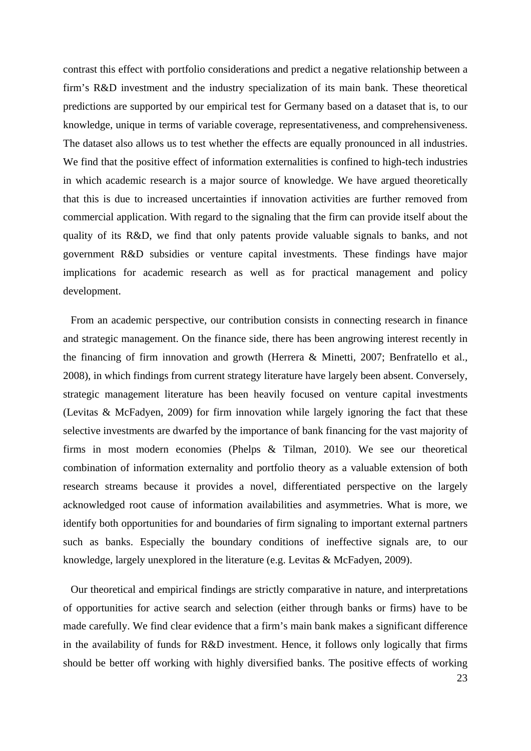contrast this effect with portfolio considerations and predict a negative relationship between a firm's R&D investment and the industry specialization of its main bank. These theoretical predictions are supported by our empirical test for Germany based on a dataset that is, to our knowledge, unique in terms of variable coverage, representativeness, and comprehensiveness. The dataset also allows us to test whether the effects are equally pronounced in all industries. We find that the positive effect of information externalities is confined to high-tech industries in which academic research is a major source of knowledge. We have argued theoretically that this is due to increased uncertainties if innovation activities are further removed from commercial application. With regard to the signaling that the firm can provide itself about the quality of its R&D, we find that only patents provide valuable signals to banks, and not government R&D subsidies or venture capital investments. These findings have major implications for academic research as well as for practical management and policy development.

From an academic perspective, our contribution consists in connecting research in finance and strategic management. On the finance side, there has been angrowing interest recently in the financing of firm innovation and growth (Herrera & Minetti, 2007; Benfratello et al., 2008), in which findings from current strategy literature have largely been absent. Conversely, strategic management literature has been heavily focused on venture capital investments (Levitas & McFadyen, 2009) for firm innovation while largely ignoring the fact that these selective investments are dwarfed by the importance of bank financing for the vast majority of firms in most modern economies (Phelps & Tilman, 2010). We see our theoretical combination of information externality and portfolio theory as a valuable extension of both research streams because it provides a novel, differentiated perspective on the largely acknowledged root cause of information availabilities and asymmetries. What is more, we identify both opportunities for and boundaries of firm signaling to important external partners such as banks. Especially the boundary conditions of ineffective signals are, to our knowledge, largely unexplored in the literature (e.g. Levitas & McFadyen, 2009).

Our theoretical and empirical findings are strictly comparative in nature, and interpretations of opportunities for active search and selection (either through banks or firms) have to be made carefully. We find clear evidence that a firm's main bank makes a significant difference in the availability of funds for R&D investment. Hence, it follows only logically that firms should be better off working with highly diversified banks. The positive effects of working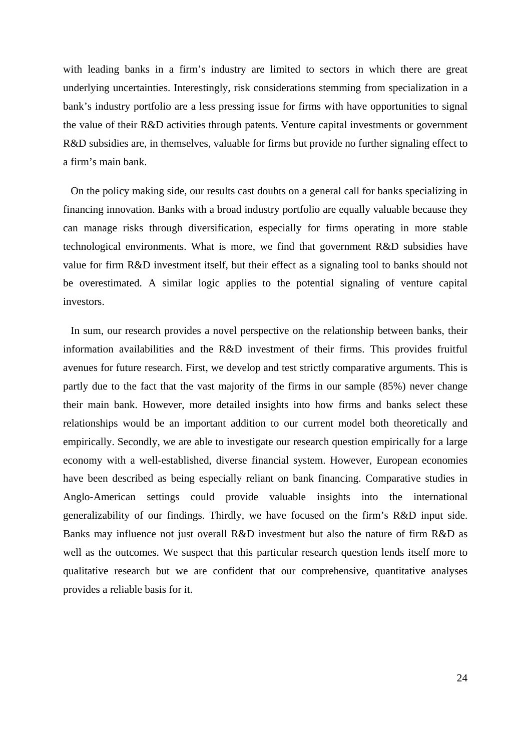with leading banks in a firm's industry are limited to sectors in which there are great underlying uncertainties. Interestingly, risk considerations stemming from specialization in a bank's industry portfolio are a less pressing issue for firms with have opportunities to signal the value of their R&D activities through patents. Venture capital investments or government R&D subsidies are, in themselves, valuable for firms but provide no further signaling effect to a firm's main bank.

On the policy making side, our results cast doubts on a general call for banks specializing in financing innovation. Banks with a broad industry portfolio are equally valuable because they can manage risks through diversification, especially for firms operating in more stable technological environments. What is more, we find that government R&D subsidies have value for firm R&D investment itself, but their effect as a signaling tool to banks should not be overestimated. A similar logic applies to the potential signaling of venture capital investors.

In sum, our research provides a novel perspective on the relationship between banks, their information availabilities and the R&D investment of their firms. This provides fruitful avenues for future research. First, we develop and test strictly comparative arguments. This is partly due to the fact that the vast majority of the firms in our sample (85%) never change their main bank. However, more detailed insights into how firms and banks select these relationships would be an important addition to our current model both theoretically and empirically. Secondly, we are able to investigate our research question empirically for a large economy with a well-established, diverse financial system. However, European economies have been described as being especially reliant on bank financing. Comparative studies in Anglo-American settings could provide valuable insights into the international generalizability of our findings. Thirdly, we have focused on the firm's R&D input side. Banks may influence not just overall R&D investment but also the nature of firm R&D as well as the outcomes. We suspect that this particular research question lends itself more to qualitative research but we are confident that our comprehensive, quantitative analyses provides a reliable basis for it.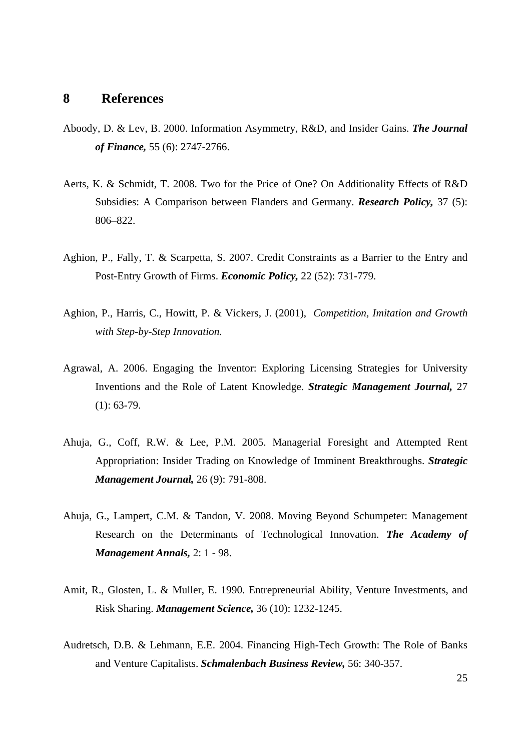### **8 References**

- Aboody, D. & Lev, B. 2000. Information Asymmetry, R&D, and Insider Gains. *The Journal of Finance,* 55 (6): 2747-2766.
- Aerts, K. & Schmidt, T. 2008. Two for the Price of One? On Additionality Effects of R&D Subsidies: A Comparison between Flanders and Germany. *Research Policy,* 37 (5): 806–822.
- Aghion, P., Fally, T. & Scarpetta, S. 2007. Credit Constraints as a Barrier to the Entry and Post-Entry Growth of Firms. *Economic Policy,* 22 (52): 731-779.
- Aghion, P., Harris, C., Howitt, P. & Vickers, J. (2001), *Competition, Imitation and Growth with Step-by-Step Innovation.*
- Agrawal, A. 2006. Engaging the Inventor: Exploring Licensing Strategies for University Inventions and the Role of Latent Knowledge. *Strategic Management Journal,* 27  $(1): 63-79.$
- Ahuja, G., Coff, R.W. & Lee, P.M. 2005. Managerial Foresight and Attempted Rent Appropriation: Insider Trading on Knowledge of Imminent Breakthroughs. *Strategic Management Journal,* 26 (9): 791-808.
- Ahuja, G., Lampert, C.M. & Tandon, V. 2008. Moving Beyond Schumpeter: Management Research on the Determinants of Technological Innovation. *The Academy of Management Annals,* 2: 1 - 98.
- Amit, R., Glosten, L. & Muller, E. 1990. Entrepreneurial Ability, Venture Investments, and Risk Sharing. *Management Science,* 36 (10): 1232-1245.
- Audretsch, D.B. & Lehmann, E.E. 2004. Financing High-Tech Growth: The Role of Banks and Venture Capitalists. *Schmalenbach Business Review,* 56: 340-357.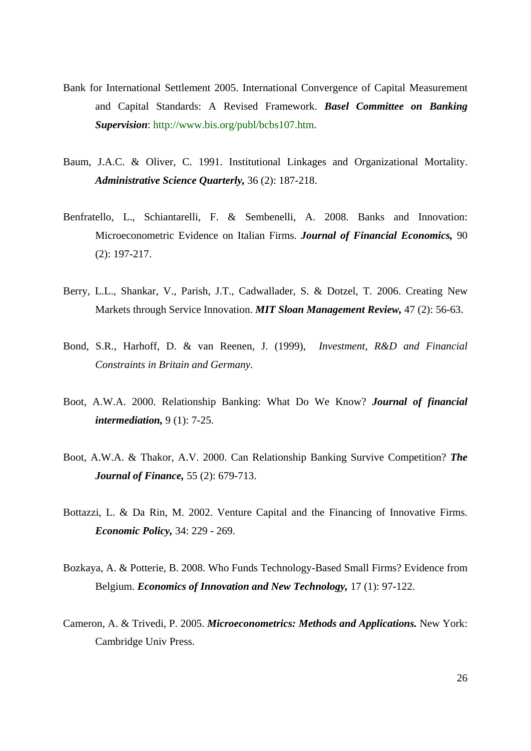- Bank for International Settlement 2005. International Convergence of Capital Measurement and Capital Standards: A Revised Framework. *Basel Committee on Banking Supervision*: http://www.bis.org/publ/bcbs107.htm.
- Baum, J.A.C. & Oliver, C. 1991. Institutional Linkages and Organizational Mortality. *Administrative Science Quarterly,* 36 (2): 187-218.
- Benfratello, L., Schiantarelli, F. & Sembenelli, A. 2008. Banks and Innovation: Microeconometric Evidence on Italian Firms. *Journal of Financial Economics,* 90 (2): 197-217.
- Berry, L.L., Shankar, V., Parish, J.T., Cadwallader, S. & Dotzel, T. 2006. Creating New Markets through Service Innovation. *MIT Sloan Management Review,* 47 (2): 56-63.
- Bond, S.R., Harhoff, D. & van Reenen, J. (1999), *Investment, R&D and Financial Constraints in Britain and Germany.*
- Boot, A.W.A. 2000. Relationship Banking: What Do We Know? *Journal of financial intermediation,* 9 (1): 7-25.
- Boot, A.W.A. & Thakor, A.V. 2000. Can Relationship Banking Survive Competition? *The Journal of Finance,* 55 (2): 679-713.
- Bottazzi, L. & Da Rin, M. 2002. Venture Capital and the Financing of Innovative Firms. *Economic Policy,* 34: 229 - 269.
- Bozkaya, A. & Potterie, B. 2008. Who Funds Technology-Based Small Firms? Evidence from Belgium. *Economics of Innovation and New Technology,* 17 (1): 97-122.
- Cameron, A. & Trivedi, P. 2005. *Microeconometrics: Methods and Applications.* New York: Cambridge Univ Press.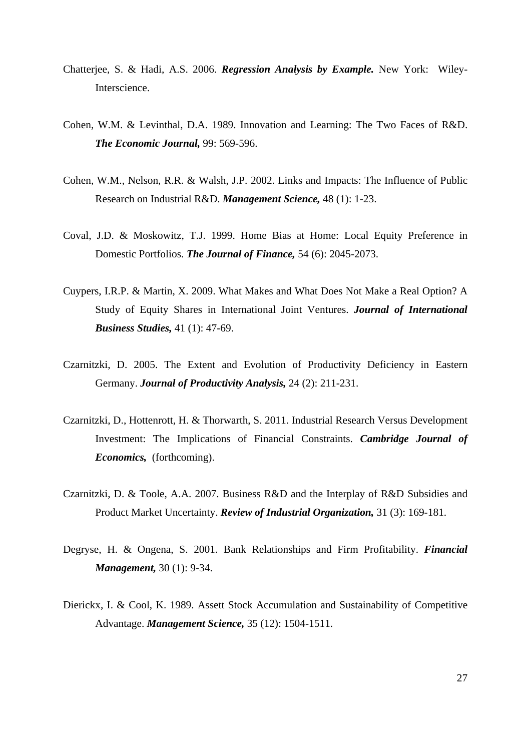- Chatterjee, S. & Hadi, A.S. 2006. *Regression Analysis by Example.* New York: Wiley-Interscience.
- Cohen, W.M. & Levinthal, D.A. 1989. Innovation and Learning: The Two Faces of R&D. *The Economic Journal,* 99: 569-596.
- Cohen, W.M., Nelson, R.R. & Walsh, J.P. 2002. Links and Impacts: The Influence of Public Research on Industrial R&D. *Management Science,* 48 (1): 1-23.
- Coval, J.D. & Moskowitz, T.J. 1999. Home Bias at Home: Local Equity Preference in Domestic Portfolios. *The Journal of Finance,* 54 (6): 2045-2073.
- Cuypers, I.R.P. & Martin, X. 2009. What Makes and What Does Not Make a Real Option? A Study of Equity Shares in International Joint Ventures. *Journal of International Business Studies,* 41 (1): 47-69.
- Czarnitzki, D. 2005. The Extent and Evolution of Productivity Deficiency in Eastern Germany. *Journal of Productivity Analysis,* 24 (2): 211-231.
- Czarnitzki, D., Hottenrott, H. & Thorwarth, S. 2011. Industrial Research Versus Development Investment: The Implications of Financial Constraints. *Cambridge Journal of Economics,* (forthcoming).
- Czarnitzki, D. & Toole, A.A. 2007. Business R&D and the Interplay of R&D Subsidies and Product Market Uncertainty. *Review of Industrial Organization,* 31 (3): 169-181.
- Degryse, H. & Ongena, S. 2001. Bank Relationships and Firm Profitability. *Financial Management,* 30 (1): 9-34.
- Dierickx, I. & Cool, K. 1989. Assett Stock Accumulation and Sustainability of Competitive Advantage. *Management Science,* 35 (12): 1504-1511.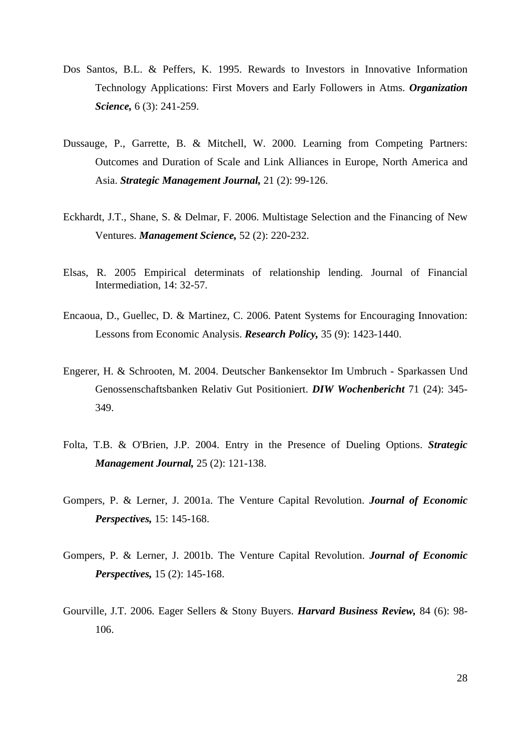- Dos Santos, B.L. & Peffers, K. 1995. Rewards to Investors in Innovative Information Technology Applications: First Movers and Early Followers in Atms. *Organization Science,* 6 (3): 241-259.
- Dussauge, P., Garrette, B. & Mitchell, W. 2000. Learning from Competing Partners: Outcomes and Duration of Scale and Link Alliances in Europe, North America and Asia. *Strategic Management Journal,* 21 (2): 99-126.
- Eckhardt, J.T., Shane, S. & Delmar, F. 2006. Multistage Selection and the Financing of New Ventures. *Management Science,* 52 (2): 220-232.
- Elsas, R. 2005 Empirical determinats of relationship lending. Journal of Financial Intermediation, 14: 32-57.
- Encaoua, D., Guellec, D. & Martinez, C. 2006. Patent Systems for Encouraging Innovation: Lessons from Economic Analysis. *Research Policy,* 35 (9): 1423-1440.
- Engerer, H. & Schrooten, M. 2004. Deutscher Bankensektor Im Umbruch Sparkassen Und Genossenschaftsbanken Relativ Gut Positioniert. *DIW Wochenbericht* 71 (24): 345- 349.
- Folta, T.B. & O'Brien, J.P. 2004. Entry in the Presence of Dueling Options. *Strategic Management Journal,* 25 (2): 121-138.
- Gompers, P. & Lerner, J. 2001a. The Venture Capital Revolution. *Journal of Economic Perspectives,* 15: 145-168.
- Gompers, P. & Lerner, J. 2001b. The Venture Capital Revolution. *Journal of Economic Perspectives,* 15 (2): 145-168.
- Gourville, J.T. 2006. Eager Sellers & Stony Buyers. *Harvard Business Review,* 84 (6): 98- 106.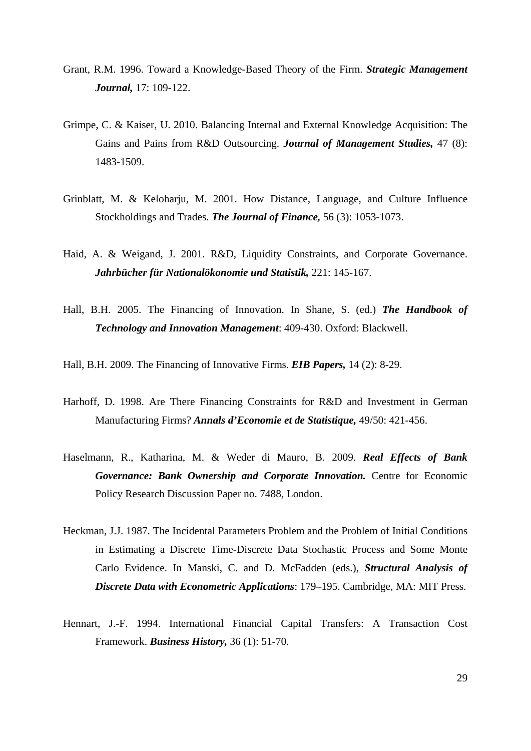- Grant, R.M. 1996. Toward a Knowledge-Based Theory of the Firm. *Strategic Management Journal,* 17: 109-122.
- Grimpe, C. & Kaiser, U. 2010. Balancing Internal and External Knowledge Acquisition: The Gains and Pains from R&D Outsourcing. *Journal of Management Studies,* 47 (8): 1483-1509.
- Grinblatt, M. & Keloharju, M. 2001. How Distance, Language, and Culture Influence Stockholdings and Trades. *The Journal of Finance,* 56 (3): 1053-1073.
- Haid, A. & Weigand, J. 2001. R&D, Liquidity Constraints, and Corporate Governance. *Jahrbücher für Nationalökonomie und Statistik,* 221: 145-167.
- Hall, B.H. 2005. The Financing of Innovation. In Shane, S. (ed.) *The Handbook of Technology and Innovation Management*: 409-430. Oxford: Blackwell.

Hall, B.H. 2009. The Financing of Innovative Firms. *EIB Papers,* 14 (2): 8-29.

- Harhoff, D. 1998. Are There Financing Constraints for R&D and Investment in German Manufacturing Firms? *Annals d'Economie et de Statistique,* 49/50: 421-456.
- Haselmann, R., Katharina, M. & Weder di Mauro, B. 2009. *Real Effects of Bank Governance: Bank Ownership and Corporate Innovation.* Centre for Economic Policy Research Discussion Paper no. 7488, London.
- Heckman, J.J. 1987. The Incidental Parameters Problem and the Problem of Initial Conditions in Estimating a Discrete Time-Discrete Data Stochastic Process and Some Monte Carlo Evidence. In Manski, C. and D. McFadden (eds.), *Structural Analysis of Discrete Data with Econometric Applications*: 179–195. Cambridge, MA: MIT Press.
- Hennart, J.-F. 1994. International Financial Capital Transfers: A Transaction Cost Framework. *Business History,* 36 (1): 51-70.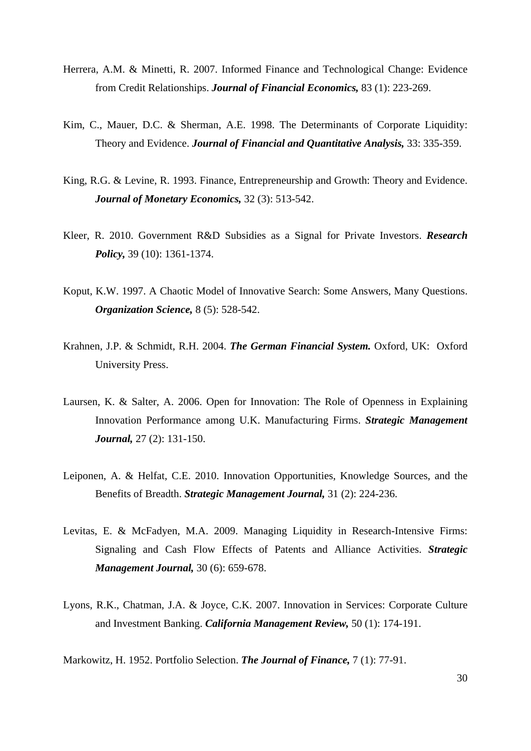- Herrera, A.M. & Minetti, R. 2007. Informed Finance and Technological Change: Evidence from Credit Relationships. *Journal of Financial Economics,* 83 (1): 223-269.
- Kim, C., Mauer, D.C. & Sherman, A.E. 1998. The Determinants of Corporate Liquidity: Theory and Evidence. *Journal of Financial and Quantitative Analysis,* 33: 335-359.
- King, R.G. & Levine, R. 1993. Finance, Entrepreneurship and Growth: Theory and Evidence. *Journal of Monetary Economics,* 32 (3): 513-542.
- Kleer, R. 2010. Government R&D Subsidies as a Signal for Private Investors. *Research Policy,* 39 (10): 1361-1374.
- Koput, K.W. 1997. A Chaotic Model of Innovative Search: Some Answers, Many Questions. *Organization Science,* 8 (5): 528-542.
- Krahnen, J.P. & Schmidt, R.H. 2004. *The German Financial System.* Oxford, UK: Oxford University Press.
- Laursen, K. & Salter, A. 2006. Open for Innovation: The Role of Openness in Explaining Innovation Performance among U.K. Manufacturing Firms. *Strategic Management Journal,* 27 (2): 131-150.
- Leiponen, A. & Helfat, C.E. 2010. Innovation Opportunities, Knowledge Sources, and the Benefits of Breadth. *Strategic Management Journal,* 31 (2): 224-236.
- Levitas, E. & McFadyen, M.A. 2009. Managing Liquidity in Research-Intensive Firms: Signaling and Cash Flow Effects of Patents and Alliance Activities. *Strategic Management Journal,* 30 (6): 659-678.
- Lyons, R.K., Chatman, J.A. & Joyce, C.K. 2007. Innovation in Services: Corporate Culture and Investment Banking. *California Management Review,* 50 (1): 174-191.

Markowitz, H. 1952. Portfolio Selection. *The Journal of Finance,* 7 (1): 77-91.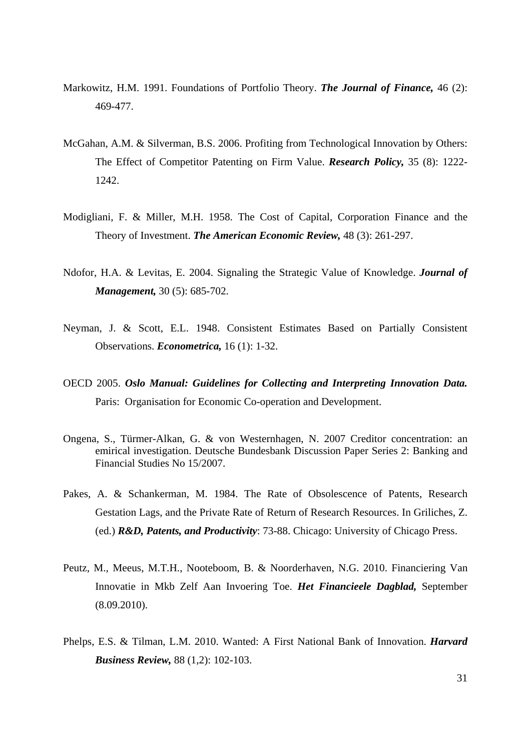- Markowitz, H.M. 1991. Foundations of Portfolio Theory. *The Journal of Finance,* 46 (2): 469-477.
- McGahan, A.M. & Silverman, B.S. 2006. Profiting from Technological Innovation by Others: The Effect of Competitor Patenting on Firm Value. *Research Policy,* 35 (8): 1222- 1242.
- Modigliani, F. & Miller, M.H. 1958. The Cost of Capital, Corporation Finance and the Theory of Investment. *The American Economic Review,* 48 (3): 261-297.
- Ndofor, H.A. & Levitas, E. 2004. Signaling the Strategic Value of Knowledge. *Journal of Management,* 30 (5): 685-702.
- Neyman, J. & Scott, E.L. 1948. Consistent Estimates Based on Partially Consistent Observations. *Econometrica,* 16 (1): 1-32.
- OECD 2005. *Oslo Manual: Guidelines for Collecting and Interpreting Innovation Data.* Paris: Organisation for Economic Co-operation and Development.
- Ongena, S., Türmer-Alkan, G. & von Westernhagen, N. 2007 Creditor concentration: an emirical investigation. Deutsche Bundesbank Discussion Paper Series 2: Banking and Financial Studies No 15/2007.
- Pakes, A. & Schankerman, M. 1984. The Rate of Obsolescence of Patents, Research Gestation Lags, and the Private Rate of Return of Research Resources. In Griliches, Z. (ed.) *R&D, Patents, and Productivity*: 73-88. Chicago: University of Chicago Press.
- Peutz, M., Meeus, M.T.H., Nooteboom, B. & Noorderhaven, N.G. 2010. Financiering Van Innovatie in Mkb Zelf Aan Invoering Toe. *Het Financieele Dagblad,* September (8.09.2010).
- Phelps, E.S. & Tilman, L.M. 2010. Wanted: A First National Bank of Innovation. *Harvard Business Review,* 88 (1,2): 102-103.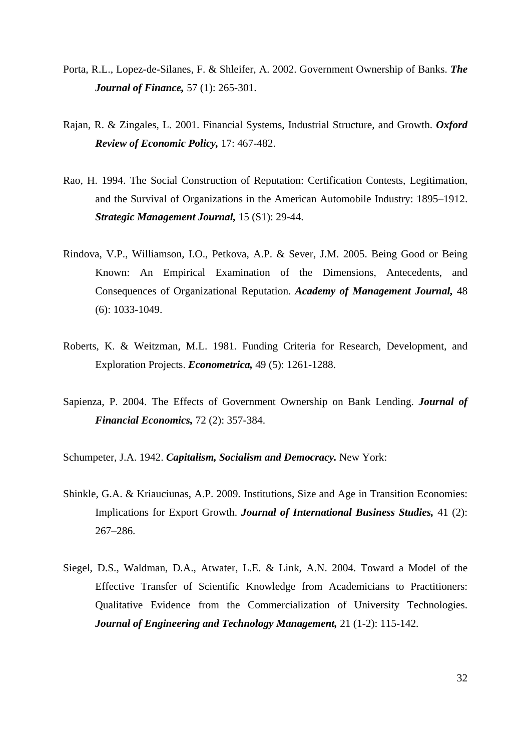- Porta, R.L., Lopez-de-Silanes, F. & Shleifer, A. 2002. Government Ownership of Banks. *The Journal of Finance,* 57 (1): 265-301.
- Rajan, R. & Zingales, L. 2001. Financial Systems, Industrial Structure, and Growth. *Oxford Review of Economic Policy,* 17: 467-482.
- Rao, H. 1994. The Social Construction of Reputation: Certification Contests, Legitimation, and the Survival of Organizations in the American Automobile Industry: 1895–1912. *Strategic Management Journal,* 15 (S1): 29-44.
- Rindova, V.P., Williamson, I.O., Petkova, A.P. & Sever, J.M. 2005. Being Good or Being Known: An Empirical Examination of the Dimensions, Antecedents, and Consequences of Organizational Reputation. *Academy of Management Journal,* 48 (6): 1033-1049.
- Roberts, K. & Weitzman, M.L. 1981. Funding Criteria for Research, Development, and Exploration Projects. *Econometrica,* 49 (5): 1261-1288.
- Sapienza, P. 2004. The Effects of Government Ownership on Bank Lending. *Journal of Financial Economics,* 72 (2): 357-384.

Schumpeter, J.A. 1942. *Capitalism, Socialism and Democracy.* New York:

- Shinkle, G.A. & Kriauciunas, A.P. 2009. Institutions, Size and Age in Transition Economies: Implications for Export Growth. *Journal of International Business Studies,* 41 (2): 267–286.
- Siegel, D.S., Waldman, D.A., Atwater, L.E. & Link, A.N. 2004. Toward a Model of the Effective Transfer of Scientific Knowledge from Academicians to Practitioners: Qualitative Evidence from the Commercialization of University Technologies. *Journal of Engineering and Technology Management,* 21 (1-2): 115-142.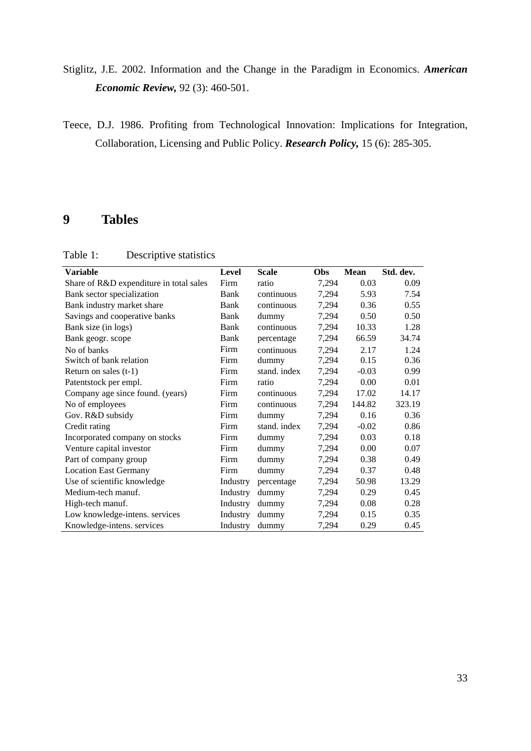- Stiglitz, J.E. 2002. Information and the Change in the Paradigm in Economics. *American Economic Review,* 92 (3): 460-501.
- Teece, D.J. 1986. Profiting from Technological Innovation: Implications for Integration, Collaboration, Licensing and Public Policy. *Research Policy,* 15 (6): 285-305.

## **9 Tables**

| <b>Variable</b>                         | <b>Level</b> | <b>Scale</b> | Obs   | <b>Mean</b> | Std. dev. |
|-----------------------------------------|--------------|--------------|-------|-------------|-----------|
| Share of R&D expenditure in total sales | Firm         | ratio        | 7,294 | 0.03        | 0.09      |
| Bank sector specialization              | Bank         | continuous   | 7,294 | 5.93        | 7.54      |
| Bank industry market share              | <b>Bank</b>  | continuous   | 7,294 | 0.36        | 0.55      |
| Savings and cooperative banks           | Bank         | dummy        | 7,294 | 0.50        | 0.50      |
| Bank size (in logs)                     | Bank         | continuous   | 7,294 | 10.33       | 1.28      |
| Bank geogr. scope                       | Bank         | percentage   | 7,294 | 66.59       | 34.74     |
| No of banks                             | Firm         | continuous   | 7,294 | 2.17        | 1.24      |
| Switch of bank relation                 | Firm         | dummy        | 7,294 | 0.15        | 0.36      |
| Return on sales $(t-1)$                 | Firm         | stand. index | 7,294 | $-0.03$     | 0.99      |
| Patentstock per empl.                   | Firm         | ratio        | 7,294 | 0.00        | 0.01      |
| Company age since found. (years)        | Firm         | continuous   | 7,294 | 17.02       | 14.17     |
| No of employees                         | Firm         | continuous   | 7,294 | 144.82      | 323.19    |
| Gov. R&D subsidy                        | Firm         | dummy        | 7,294 | 0.16        | 0.36      |
| Credit rating                           | Firm         | stand, index | 7,294 | $-0.02$     | 0.86      |
| Incorporated company on stocks          | Firm         | dummy        | 7,294 | 0.03        | 0.18      |
| Venture capital investor                | Firm         | dummy        | 7,294 | 0.00        | 0.07      |
| Part of company group                   | Firm         | dummy        | 7,294 | 0.38        | 0.49      |
| <b>Location East Germany</b>            | Firm         | dummy        | 7,294 | 0.37        | 0.48      |
| Use of scientific knowledge             | Industry     | percentage   | 7,294 | 50.98       | 13.29     |
| Medium-tech manuf.                      | Industry     | dummy        | 7,294 | 0.29        | 0.45      |
| High-tech manuf.                        | Industry     | dummy        | 7,294 | 0.08        | 0.28      |
| Low knowledge-intens. services          | Industry     | dummy        | 7,294 | 0.15        | 0.35      |
| Knowledge-intens. services              | Industry     | dummy        | 7,294 | 0.29        | 0.45      |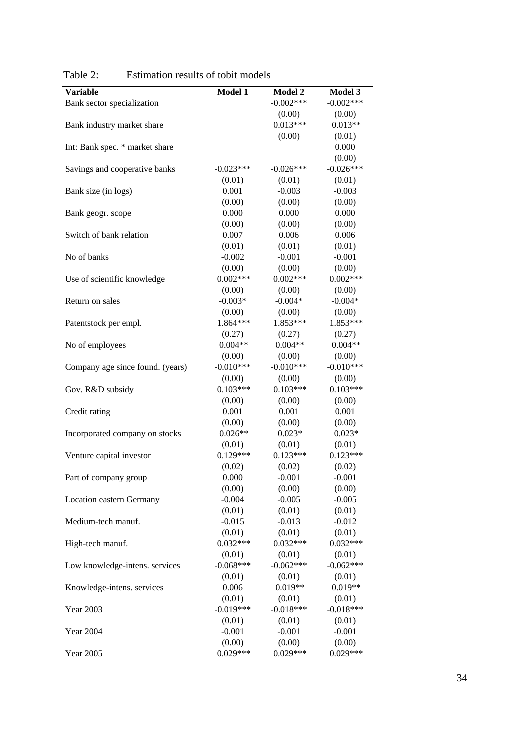| <b>Variable</b>                  | Model 1            | <b>Model 2</b>     | <b>Model 3</b>     |
|----------------------------------|--------------------|--------------------|--------------------|
| Bank sector specialization       |                    | $-0.002***$        | $-0.002***$        |
|                                  |                    | (0.00)             | (0.00)             |
| Bank industry market share       |                    | $0.013***$         | $0.013**$          |
|                                  |                    | (0.00)             | (0.01)             |
| Int: Bank spec. * market share   |                    |                    | 0.000              |
|                                  |                    |                    | (0.00)             |
| Savings and cooperative banks    | $-0.023***$        | $-0.026***$        | $-0.026***$        |
|                                  | (0.01)             | (0.01)             | (0.01)             |
| Bank size (in logs)              | 0.001              | $-0.003$           | $-0.003$           |
|                                  | (0.00)             | (0.00)             | (0.00)             |
| Bank geogr. scope                | 0.000              | 0.000              | 0.000              |
|                                  | (0.00)             | (0.00)             | (0.00)             |
| Switch of bank relation          | 0.007              | 0.006              | 0.006              |
|                                  | (0.01)             | (0.01)             | (0.01)             |
| No of banks                      | $-0.002$           | $-0.001$           | $-0.001$           |
|                                  | (0.00)             | (0.00)             | (0.00)             |
| Use of scientific knowledge      | $0.002***$         | $0.002***$         | $0.002***$         |
|                                  | (0.00)             | (0.00)             | (0.00)             |
| Return on sales                  | $-0.003*$          | $-0.004*$          | $-0.004*$          |
|                                  | (0.00)             | (0.00)             | (0.00)             |
| Patentstock per empl.            | 1.864***           | 1.853***           | $1.853***$         |
|                                  | (0.27)             | (0.27)             | (0.27)             |
| No of employees                  | $0.004**$          | $0.004**$          | $0.004**$          |
|                                  | (0.00)             | (0.00)             | (0.00)             |
| Company age since found. (years) | $-0.010***$        | $-0.010***$        | $-0.010***$        |
|                                  | (0.00)             | (0.00)             | (0.00)             |
| Gov. R&D subsidy                 | $0.103***$         | $0.103***$         | $0.103***$         |
|                                  | (0.00)             | (0.00)             | (0.00)             |
| Credit rating                    | 0.001              | 0.001              | 0.001              |
|                                  | (0.00)             | (0.00)             | (0.00)             |
| Incorporated company on stocks   | $0.026**$          | $0.023*$           | $0.023*$           |
|                                  | (0.01)             | (0.01)             | (0.01)             |
| Venture capital investor         | $0.129***$         | $0.123***$         | $0.123***$         |
|                                  | (0.02)             | (0.02)             | (0.02)             |
|                                  | 0.000              | $-0.001$           | $-0.001$           |
| Part of company group            |                    |                    |                    |
| Location eastern Germany         | (0.00)<br>$-0.004$ | (0.00)<br>$-0.005$ | (0.00)<br>$-0.005$ |
|                                  |                    |                    |                    |
|                                  | (0.01)             | (0.01)             | (0.01)             |
| Medium-tech manuf.               | $-0.015$           | $-0.013$           | $-0.012$           |
|                                  | (0.01)             | (0.01)             | (0.01)             |
| High-tech manuf.                 | $0.032***$         | $0.032***$         | $0.032***$         |
|                                  | (0.01)             | (0.01)             | (0.01)             |
| Low knowledge-intens. services   | $-0.068***$        | $-0.062***$        | $-0.062***$        |
|                                  | (0.01)             | (0.01)             | (0.01)             |
| Knowledge-intens. services       | 0.006              | $0.019**$          | $0.019**$          |
|                                  | (0.01)             | (0.01)             | (0.01)             |
| Year 2003                        | $-0.019***$        | $-0.018***$        | $-0.018***$        |
|                                  | (0.01)             | (0.01)             | (0.01)             |
| <b>Year 2004</b>                 | $-0.001$           | $-0.001$           | $-0.001$           |
|                                  | (0.00)             | (0.00)             | (0.00)             |
| Year 2005                        | $0.029***$         | $0.029***$         | $0.029***$         |

| Estimation results of tobit models<br>Table 2: |  |
|------------------------------------------------|--|
|------------------------------------------------|--|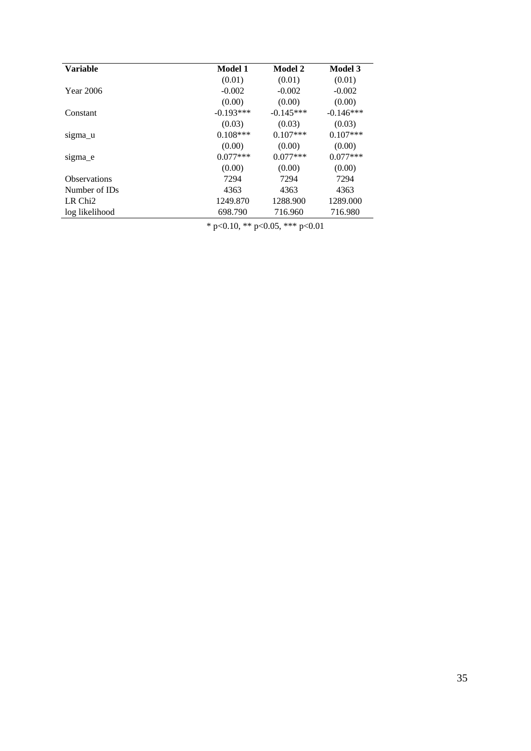| <b>Variable</b>     | Model 1     | Model 2     | <b>Model 3</b> |
|---------------------|-------------|-------------|----------------|
|                     | (0.01)      | (0.01)      | (0.01)         |
| <b>Year 2006</b>    | $-0.002$    | $-0.002$    | $-0.002$       |
|                     | (0.00)      | (0.00)      | (0.00)         |
| Constant            | $-0.193***$ | $-0.145***$ | $-0.146***$    |
|                     | (0.03)      | (0.03)      | (0.03)         |
| sigma u             | $0.108***$  | $0.107***$  | $0.107***$     |
|                     | (0.00)      | (0.00)      | (0.00)         |
| sigma e             | $0.077***$  | $0.077***$  | $0.077***$     |
|                     | (0.00)      | (0.00)      | (0.00)         |
| <b>Observations</b> | 7294        | 7294        | 7294           |
| Number of IDs       | 4363        | 4363        | 4363           |
| LR Chi2             | 1249.870    | 1288.900    | 1289.000       |
| log likelihood      | 698.790     | 716.960     | 716.980        |

\* p<0.10, \*\* p<0.05, \*\*\* p<0.01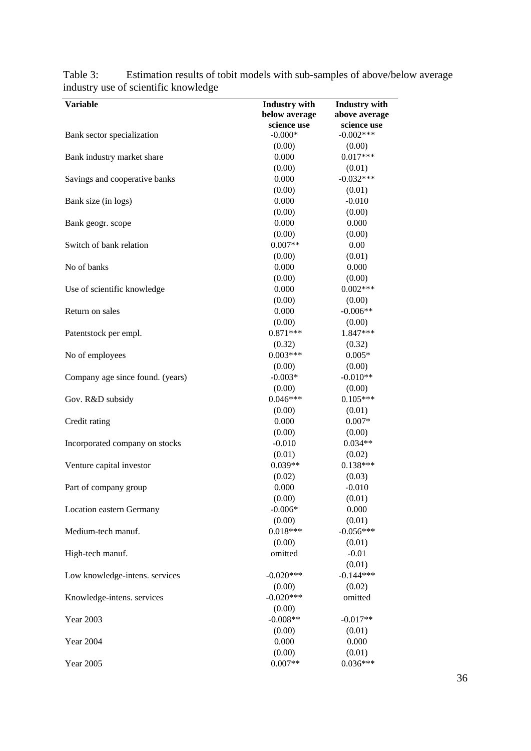| <b>Variable</b>                  | <b>Industry with</b><br>below average | <b>Industry with</b><br>above average |
|----------------------------------|---------------------------------------|---------------------------------------|
|                                  | science use                           | science use                           |
| Bank sector specialization       | $-0.000*$                             | $-0.002***$                           |
|                                  | (0.00)                                | (0.00)                                |
| Bank industry market share       | 0.000                                 | $0.017***$                            |
|                                  | (0.00)                                | (0.01)                                |
| Savings and cooperative banks    | 0.000                                 | $-0.032***$                           |
|                                  | (0.00)                                | (0.01)                                |
| Bank size (in logs)              | 0.000                                 | $-0.010$                              |
|                                  | (0.00)                                | (0.00)                                |
| Bank geogr. scope                | 0.000                                 | 0.000                                 |
|                                  | (0.00)                                | (0.00)                                |
| Switch of bank relation          | $0.007**$                             | 0.00                                  |
|                                  | (0.00)                                | (0.01)                                |
| No of banks                      | 0.000                                 | 0.000                                 |
|                                  | (0.00)                                | (0.00)                                |
| Use of scientific knowledge      | 0.000                                 | $0.002***$                            |
|                                  | (0.00)                                | (0.00)                                |
| Return on sales                  | 0.000                                 | $-0.006**$                            |
|                                  | (0.00)                                | (0.00)                                |
| Patentstock per empl.            | $0.871***$                            | 1.847***                              |
|                                  | (0.32)                                | (0.32)                                |
| No of employees                  | $0.003***$                            | $0.005*$                              |
|                                  | (0.00)                                | (0.00)                                |
| Company age since found. (years) | $-0.003*$                             | $-0.010**$                            |
|                                  | (0.00)                                | (0.00)                                |
| Gov. R&D subsidy                 | $0.046***$                            | $0.105***$                            |
|                                  | (0.00)                                | (0.01)                                |
| Credit rating                    | 0.000                                 | $0.007*$                              |
|                                  | (0.00)                                | (0.00)                                |
| Incorporated company on stocks   | $-0.010$                              | $0.034**$                             |
|                                  | (0.01)                                | (0.02)                                |
| Venture capital investor         | $0.039**$                             | $0.138***$                            |
|                                  | (0.02)                                | (0.03)                                |
| Part of company group            | 0.000                                 | $-0.010$                              |
|                                  | (0.00)                                | (0.01)                                |
| Location eastern Germany         | $-0.006*$                             | 0.000                                 |
|                                  | (0.00)                                | (0.01)                                |
| Medium-tech manuf.               | $0.018***$                            | $-0.056***$                           |
|                                  | (0.00)                                | (0.01)                                |
| High-tech manuf.                 | omitted                               | $-0.01$                               |
|                                  |                                       | (0.01)                                |
| Low knowledge-intens. services   | $-0.020***$                           | $-0.144***$                           |
|                                  | (0.00)                                | (0.02)                                |
| Knowledge-intens. services       | $-0.020***$                           | omitted                               |
|                                  | (0.00)                                |                                       |
| Year 2003                        | $-0.008**$                            | $-0.017**$                            |
|                                  | (0.00)                                | (0.01)                                |
| <b>Year 2004</b>                 | 0.000                                 | 0.000                                 |
|                                  | (0.00)                                | (0.01)                                |
| Year 2005                        | $0.007**$                             | $0.036***$                            |
|                                  |                                       |                                       |

Table 3: Estimation results of tobit models with sub-samples of above/below average industry use of scientific knowledge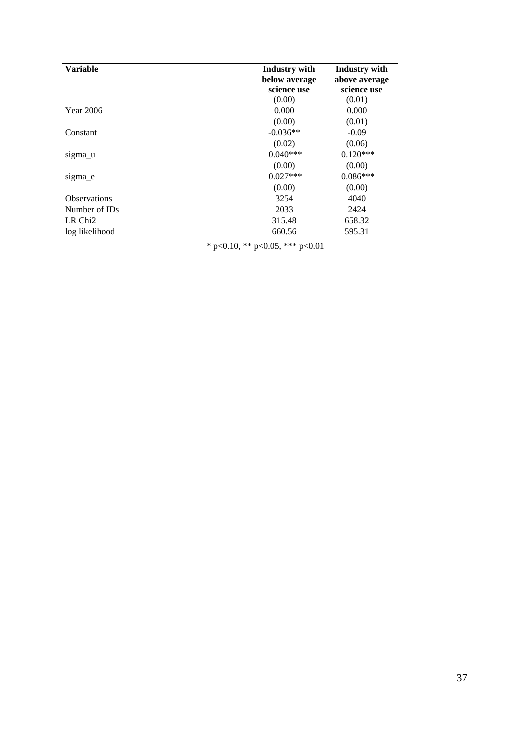| <b>Variable</b>     | Industry with<br>below average<br>science use | Industry with<br>above average<br>science use |
|---------------------|-----------------------------------------------|-----------------------------------------------|
|                     | (0.00)                                        | (0.01)                                        |
| Year 2006           | 0.000                                         | 0.000                                         |
|                     | (0.00)                                        | (0.01)                                        |
| Constant            | $-0.036**$                                    | $-0.09$                                       |
|                     | (0.02)                                        | (0.06)                                        |
| sigma_u             | $0.040***$                                    | $0.120***$                                    |
|                     | (0.00)                                        | (0.00)                                        |
| sigma e             | $0.027***$                                    | $0.086***$                                    |
|                     | (0.00)                                        | (0.00)                                        |
| <b>Observations</b> | 3254                                          | 4040                                          |
| Number of IDs       | 2033                                          | 2424                                          |
| LR Chi <sub>2</sub> | 315.48                                        | 658.32                                        |
| log likelihood      | 660.56                                        | 595.31                                        |

\* p<0.10, \*\* p<0.05, \*\*\* p<0.01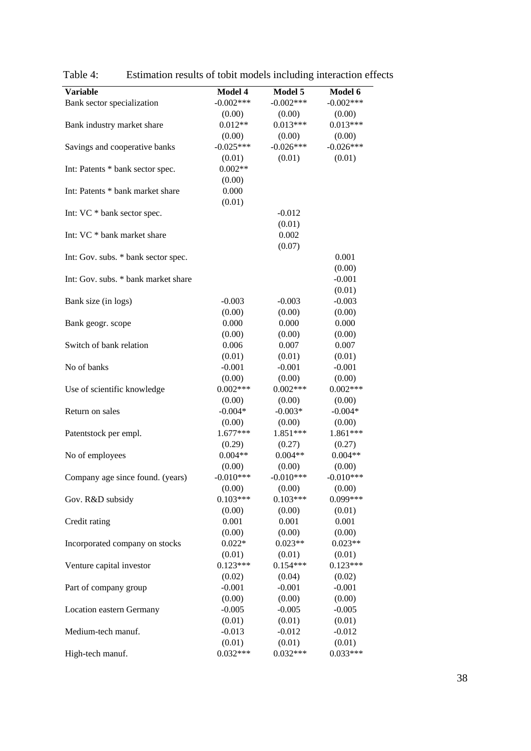| <b>Variable</b>                     | Model 4         | Model 5         | Model 6         |
|-------------------------------------|-----------------|-----------------|-----------------|
| Bank sector specialization          | $-0.002***$     | $-0.002***$     | $-0.002***$     |
|                                     | (0.00)          | (0.00)          | (0.00)          |
| Bank industry market share          | $0.012**$       | $0.013***$      | $0.013***$      |
|                                     | (0.00)          | (0.00)          | (0.00)          |
| Savings and cooperative banks       | $-0.025***$     | $-0.026***$     | $-0.026***$     |
|                                     | (0.01)          | (0.01)          | (0.01)          |
| Int: Patents * bank sector spec.    | $0.002**$       |                 |                 |
|                                     | (0.00)          |                 |                 |
| Int: Patents * bank market share    | 0.000           |                 |                 |
|                                     | (0.01)          |                 |                 |
| Int: VC * bank sector spec.         |                 | $-0.012$        |                 |
|                                     |                 | (0.01)          |                 |
| Int: VC * bank market share         |                 | 0.002           |                 |
|                                     |                 | (0.07)          |                 |
| Int: Gov. subs. * bank sector spec. |                 |                 | 0.001           |
|                                     |                 |                 | (0.00)          |
| Int: Gov. subs. * bank market share |                 |                 | $-0.001$        |
|                                     |                 |                 | (0.01)          |
| Bank size (in logs)                 | $-0.003$        | $-0.003$        | $-0.003$        |
|                                     |                 |                 |                 |
| Bank geogr. scope                   | (0.00)<br>0.000 | (0.00)<br>0.000 | (0.00)<br>0.000 |
|                                     |                 |                 |                 |
|                                     | (0.00)          | (0.00)          | (0.00)          |
| Switch of bank relation             | 0.006           | 0.007           | 0.007           |
|                                     | (0.01)          | (0.01)          | (0.01)          |
| No of banks                         | $-0.001$        | $-0.001$        | $-0.001$        |
|                                     | (0.00)          | (0.00)          | (0.00)          |
| Use of scientific knowledge         | $0.002***$      | $0.002***$      | $0.002***$      |
|                                     | (0.00)          | (0.00)          | (0.00)          |
| Return on sales                     | $-0.004*$       | $-0.003*$       | $-0.004*$       |
|                                     | (0.00)          | (0.00)          | (0.00)          |
| Patentstock per empl.               | $1.677***$      | 1.851***        | 1.861***        |
|                                     | (0.29)          | (0.27)          | (0.27)          |
| No of employees                     | $0.004**$       | $0.004**$       | $0.004**$       |
|                                     | (0.00)          | (0.00)          | (0.00)          |
| Company age since found. (years)    | $-0.010***$     | $-0.010***$     | $-0.010***$     |
|                                     | (0.00)          | (0.00)          | (0.00)          |
| Gov. R&D subsidy                    | $0.103***$      | $0.103***$      | $0.099***$      |
|                                     | (0.00)          | (0.00)          | (0.01)          |
| Credit rating                       | 0.001           | 0.001           | 0.001           |
|                                     | (0.00)          | (0.00)          | (0.00)          |
| Incorporated company on stocks      | $0.022*$        | $0.023**$       | $0.023**$       |
|                                     | (0.01)          | (0.01)          | (0.01)          |
| Venture capital investor            | $0.123***$      | $0.154***$      | $0.123***$      |
|                                     | (0.02)          | (0.04)          | (0.02)          |
| Part of company group               | $-0.001$        | $-0.001$        | $-0.001$        |
|                                     | (0.00)          | (0.00)          | (0.00)          |
| Location eastern Germany            | $-0.005$        | $-0.005$        | $-0.005$        |
|                                     | (0.01)          | (0.01)          | (0.01)          |
| Medium-tech manuf.                  | $-0.013$        | $-0.012$        | $-0.012$        |
|                                     | (0.01)          | (0.01)          | (0.01)          |
| High-tech manuf.                    | $0.032***$      | $0.032***$      | $0.033***$      |
|                                     |                 |                 |                 |

Table 4: Estimation results of tobit models including interaction effects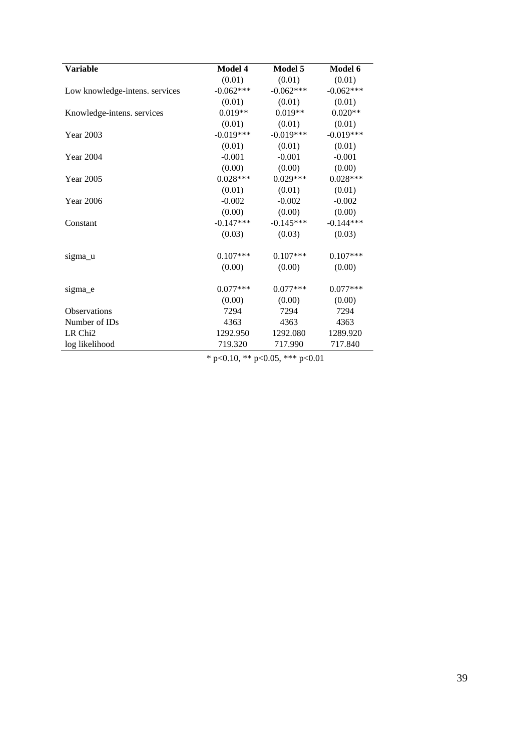| <b>Variable</b>                | Model 4     | Model 5     | Model 6     |
|--------------------------------|-------------|-------------|-------------|
|                                | (0.01)      | (0.01)      | (0.01)      |
| Low knowledge-intens. services | $-0.062***$ | $-0.062***$ | $-0.062***$ |
|                                | (0.01)      | (0.01)      | (0.01)      |
| Knowledge-intens. services     | $0.019**$   | $0.019**$   | $0.020**$   |
|                                | (0.01)      | (0.01)      | (0.01)      |
| Year 2003                      | $-0.019***$ | $-0.019***$ | $-0.019***$ |
|                                | (0.01)      | (0.01)      | (0.01)      |
| <b>Year 2004</b>               | $-0.001$    | $-0.001$    | $-0.001$    |
|                                | (0.00)      | (0.00)      | (0.00)      |
| Year 2005                      | $0.028***$  | $0.029***$  | $0.028***$  |
|                                | (0.01)      | (0.01)      | (0.01)      |
| <b>Year 2006</b>               | $-0.002$    | $-0.002$    | $-0.002$    |
|                                | (0.00)      | (0.00)      | (0.00)      |
| Constant                       | $-0.147***$ | $-0.145***$ | $-0.144***$ |
|                                | (0.03)      | (0.03)      | (0.03)      |
| sigma u                        | $0.107***$  | $0.107***$  | $0.107***$  |
|                                | (0.00)      | (0.00)      | (0.00)      |
| sigma_e                        | $0.077***$  | $0.077***$  | $0.077***$  |
|                                | (0.00)      | (0.00)      | (0.00)      |
| <b>Observations</b>            | 7294        | 7294        | 7294        |
| Number of ID <sub>s</sub>      | 4363        | 4363        | 4363        |
| LR Chi <sub>2</sub>            | 1292.950    | 1292.080    | 1289.920    |
| log likelihood                 | 719.320     | 717.990     | 717.840     |

\* p<0.10, \*\* p<0.05, \*\*\* p<0.01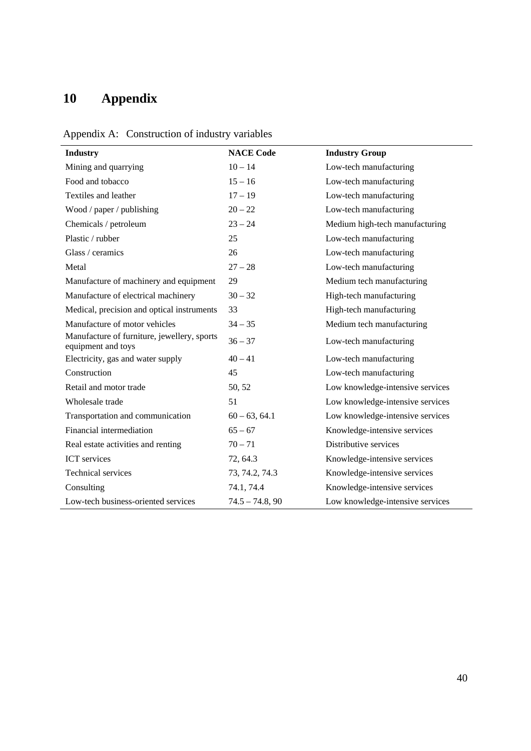# **10 Appendix**

| <b>Industry</b>                                                   | <b>NACE Code</b>  | <b>Industry Group</b>            |
|-------------------------------------------------------------------|-------------------|----------------------------------|
| Mining and quarrying                                              | $10 - 14$         | Low-tech manufacturing           |
| Food and tobacco                                                  | $15 - 16$         | Low-tech manufacturing           |
| Textiles and leather                                              | $17 - 19$         | Low-tech manufacturing           |
| Wood / paper / publishing                                         | $20 - 22$         | Low-tech manufacturing           |
| Chemicals / petroleum                                             | $23 - 24$         | Medium high-tech manufacturing   |
| Plastic / rubber                                                  | 25                | Low-tech manufacturing           |
| Glass / ceramics                                                  | 26                | Low-tech manufacturing           |
| Metal                                                             | $27 - 28$         | Low-tech manufacturing           |
| Manufacture of machinery and equipment                            | 29                | Medium tech manufacturing        |
| Manufacture of electrical machinery                               | $30 - 32$         | High-tech manufacturing          |
| Medical, precision and optical instruments                        | 33                | High-tech manufacturing          |
| Manufacture of motor vehicles                                     | $34 - 35$         | Medium tech manufacturing        |
| Manufacture of furniture, jewellery, sports<br>equipment and toys | $36 - 37$         | Low-tech manufacturing           |
| Electricity, gas and water supply                                 | $40 - 41$         | Low-tech manufacturing           |
| Construction                                                      | 45                | Low-tech manufacturing           |
| Retail and motor trade                                            | 50, 52            | Low knowledge-intensive services |
| Wholesale trade                                                   | 51                | Low knowledge-intensive services |
| Transportation and communication                                  | $60 - 63, 64.1$   | Low knowledge-intensive services |
| Financial intermediation                                          | $65 - 67$         | Knowledge-intensive services     |
| Real estate activities and renting                                | $70 - 71$         | Distributive services            |
| <b>ICT</b> services                                               | 72, 64.3          | Knowledge-intensive services     |
| <b>Technical services</b>                                         | 73, 74.2, 74.3    | Knowledge-intensive services     |
| Consulting                                                        | 74.1, 74.4        | Knowledge-intensive services     |
| Low-tech business-oriented services                               | $74.5 - 74.8, 90$ | Low knowledge-intensive services |

Appendix A: Construction of industry variables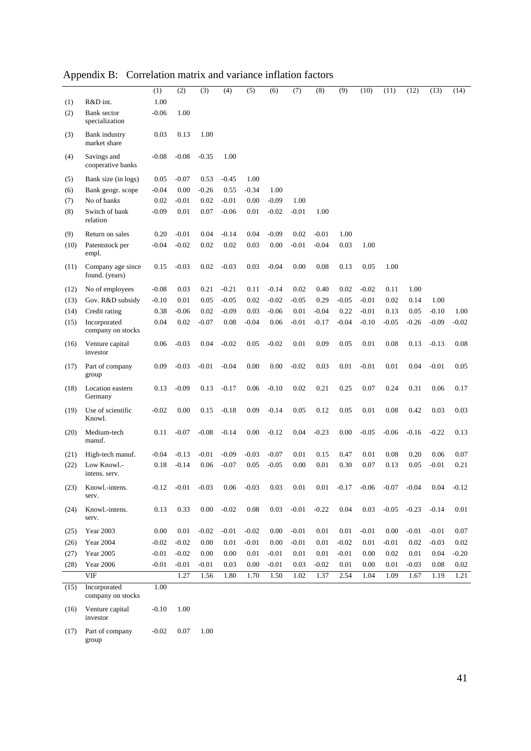|      |                                      | (1)     | (2)     | (3)     | (4)     | (5)      | (6)     | (7)     | (8)     | (9)     | (10)    | (11)    | (12)    | (13)    | (14)     |
|------|--------------------------------------|---------|---------|---------|---------|----------|---------|---------|---------|---------|---------|---------|---------|---------|----------|
| (1)  | R&D int.                             | 1.00    |         |         |         |          |         |         |         |         |         |         |         |         |          |
| (2)  | Bank sector<br>specialization        | $-0.06$ | 1.00    |         |         |          |         |         |         |         |         |         |         |         |          |
| (3)  | <b>Bank</b> industry<br>market share | 0.03    | 0.13    | 1.00    |         |          |         |         |         |         |         |         |         |         |          |
| (4)  | Savings and<br>cooperative banks     | $-0.08$ | $-0.08$ | $-0.35$ | 1.00    |          |         |         |         |         |         |         |         |         |          |
| (5)  | Bank size (in logs)                  | 0.05    | $-0.07$ | 0.53    | $-0.45$ | 1.00     |         |         |         |         |         |         |         |         |          |
| (6)  | Bank geogr. scope                    | $-0.04$ | 0.00    | $-0.26$ | 0.55    | $-0.34$  | 1.00    |         |         |         |         |         |         |         |          |
| (7)  | No of banks                          | 0.02    | $-0.01$ | 0.02    | $-0.01$ | 0.00     | $-0.09$ | 1.00    |         |         |         |         |         |         |          |
| (8)  | Switch of bank<br>relation           | $-0.09$ | 0.01    | 0.07    | $-0.06$ | 0.01     | $-0.02$ | $-0.01$ | 1.00    |         |         |         |         |         |          |
| (9)  | Return on sales                      | 0.20    | $-0.01$ | 0.04    | $-0.14$ | 0.04     | $-0.09$ | 0.02    | $-0.01$ | 1.00    |         |         |         |         |          |
| (10) | Patentstock per<br>empl.             | $-0.04$ | $-0.02$ | 0.02    | 0.02    | 0.03     | 0.00    | $-0.01$ | $-0.04$ | 0.03    | 1.00    |         |         |         |          |
| (11) | Company age since<br>found. (years)  | 0.15    | $-0.03$ | 0.02    | $-0.03$ | 0.03     | $-0.04$ | 0.00    | 0.08    | 0.13    | 0.05    | 1.00    |         |         |          |
| (12) | No of employees                      | $-0.08$ | 0.03    | 0.21    | $-0.21$ | 0.11     | $-0.14$ | 0.02    | 0.40    | 0.02    | $-0.02$ | 0.11    | 1.00    |         |          |
| (13) | Gov. R&D subsidy                     | $-0.10$ | 0.01    | 0.05    | $-0.05$ | 0.02     | $-0.02$ | $-0.05$ | 0.29    | $-0.05$ | $-0.01$ | 0.02    | 0.14    | 1.00    |          |
| (14) | Credit rating                        | 0.38    | $-0.06$ | 0.02    | $-0.09$ | 0.03     | $-0.06$ | 0.01    | $-0.04$ | 0.22    | $-0.01$ | 0.13    | 0.05    | $-0.10$ | 1.00     |
| (15) | Incorporated<br>company on stocks    | 0.04    | 0.02    | $-0.07$ | 0.08    | $-0.04$  | 0.06    | $-0.01$ | $-0.17$ | $-0.04$ | $-0.10$ | $-0.05$ | $-0.26$ | $-0.09$ | $-0.02$  |
| (16) | Venture capital<br>investor          | 0.06    | $-0.03$ | 0.04    | $-0.02$ | 0.05     | $-0.02$ | 0.01    | 0.09    | 0.05    | 0.01    | 0.08    | 0.13    | $-0.13$ | 0.08     |
| (17) | Part of company<br>group             | 0.09    | $-0.03$ | $-0.01$ | $-0.04$ | 0.00     | 0.00    | $-0.02$ | 0.03    | 0.01    | $-0.01$ | 0.01    | 0.04    | $-0.01$ | 0.05     |
| (18) | Location eastern<br>Germany          | 0.13    | $-0.09$ | 0.13    | $-0.17$ | 0.06     | $-0.10$ | 0.02    | 0.21    | 0.25    | 0.07    | 0.24    | 0.31    | 0.06    | 0.17     |
| (19) | Use of scientific<br>Knowl.          | $-0.02$ | 0.00    | 0.15    | $-0.18$ | 0.09     | $-0.14$ | 0.05    | 0.12    | 0.05    | 0.01    | 0.08    | 0.42    | 0.03    | 0.03     |
| (20) | Medium-tech<br>manuf.                | 0.11    | $-0.07$ | $-0.08$ | $-0.14$ | 0.00     | $-0.12$ | 0.04    | $-0.23$ | 0.00    | $-0.05$ | $-0.06$ | $-0.16$ | $-0.22$ | 0.13     |
| (21) | High-tech manuf.                     | $-0.04$ | $-0.13$ | $-0.01$ | $-0.09$ | $-0.03$  | $-0.07$ | 0.01    | 0.15    | 0.47    | 0.01    | 0.08    | 0.20    | 0.06    | 0.07     |
| (22) | Low Knowl.-<br>intens. serv.         | 0.18    | $-0.14$ | 0.06    | $-0.07$ | 0.05     | $-0.05$ | 0.00    | 0.01    | 0.30    | 0.07    | 0.13    | 0.05    | $-0.01$ | 0.21     |
| (23) | Knowl.-intens.<br>serv.              | $-0.12$ | $-0.01$ | $-0.03$ | 0.06    | $-0.03$  | 0.03    | 0.01    | 0.01    | $-0.17$ | $-0.06$ | $-0.07$ | $-0.04$ | 0.04    | $-0.12$  |
| (24) | Knowl.-intens.<br>serv.              | 0.13    | 0.33    | 0.00    | $-0.02$ | 0.08     | 0.03    | $-0.01$ | $-0.22$ | 0.04    | 0.03    | $-0.05$ | $-0.23$ | $-0.14$ | 0.01     |
| (25) | Year 2003                            | 0.00    | 0.01    | $-0.02$ | $-0.01$ | $-0.02$  | 0.00    | $-0.01$ | 0.01    | 0.01    | $-0.01$ | 0.00    | $-0.01$ | $-0.01$ | 0.07     |
| (26) | <b>Year 2004</b>                     | $-0.02$ | $-0.02$ | 0.00    | 0.01    | $-0.01$  | 0.00    | $-0.01$ | 0.01    | $-0.02$ | 0.01    | $-0.01$ | 0.02    | $-0.03$ | $0.02\,$ |
| (27) | <b>Year 2005</b>                     | $-0.01$ | $-0.02$ | 0.00    | 0.00    | $0.01\,$ | $-0.01$ | 0.01    | 0.01    | $-0.01$ | 0.00    | 0.02    | 0.01    | 0.04    | $-0.20$  |
| (28) | <b>Year 2006</b>                     | $-0.01$ | $-0.01$ | $-0.01$ | 0.03    | $0.00\,$ | $-0.01$ | 0.03    | $-0.02$ | 0.01    | 0.00    | 0.01    | $-0.03$ | 0.08    | 0.02     |
|      | <b>VIF</b>                           |         | 1.27    | 1.56    | 1.80    | 1.70     | 1.50    | 1.02    | 1.37    | 2.54    | 1.04    | 1.09    | 1.67    | 1.19    | 1.21     |
| (15) | Incorporated<br>company on stocks    | 1.00    |         |         |         |          |         |         |         |         |         |         |         |         |          |
| (16) | Venture capital                      | $-0.10$ | 1.00    |         |         |          |         |         |         |         |         |         |         |         |          |

|  | Appendix B: Correlation matrix and variance inflation factors |  |  |  |  |  |
|--|---------------------------------------------------------------|--|--|--|--|--|
|--|---------------------------------------------------------------|--|--|--|--|--|

investor (17) Part of company -0.02 0.07 1.00

group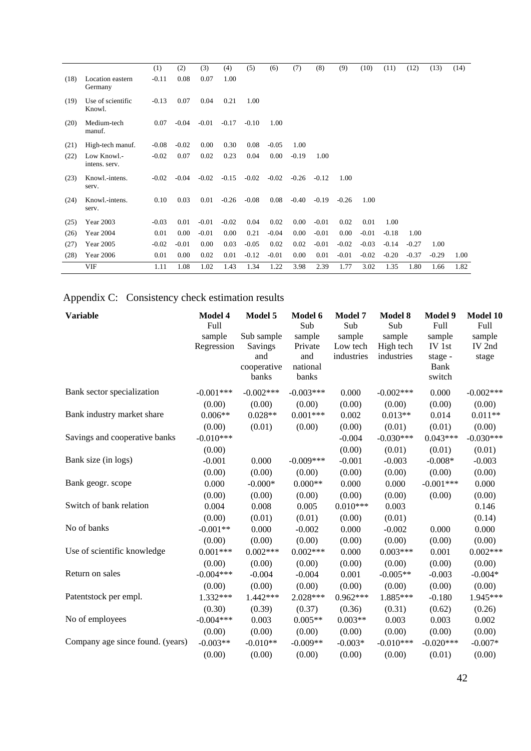|      |                              | (1)     | (2)     | (3)     | (4)     | (5)     | (6)     | (7)     | (8)     | (9)     | (10)    | (11)    | (12)    | (13)    | (14) |
|------|------------------------------|---------|---------|---------|---------|---------|---------|---------|---------|---------|---------|---------|---------|---------|------|
| (18) | Location eastern<br>Germany  | $-0.11$ | 0.08    | 0.07    | 1.00    |         |         |         |         |         |         |         |         |         |      |
| (19) | Use of scientific<br>Knowl.  | $-0.13$ | 0.07    | 0.04    | 0.21    | 1.00    |         |         |         |         |         |         |         |         |      |
| (20) | Medium-tech<br>manuf.        | 0.07    | $-0.04$ | $-0.01$ | $-0.17$ | $-0.10$ | 1.00    |         |         |         |         |         |         |         |      |
| (21) | High-tech manuf.             | $-0.08$ | $-0.02$ | 0.00    | 0.30    | 0.08    | $-0.05$ | 1.00    |         |         |         |         |         |         |      |
| (22) | Low Knowl.-<br>intens. serv. | $-0.02$ | 0.07    | 0.02    | 0.23    | 0.04    | 0.00    | $-0.19$ | 1.00    |         |         |         |         |         |      |
| (23) | Knowl.-intens.<br>serv.      | $-0.02$ | $-0.04$ | $-0.02$ | $-0.15$ | $-0.02$ | $-0.02$ | $-0.26$ | $-0.12$ | 1.00    |         |         |         |         |      |
| (24) | Knowl.-intens.<br>serv.      | 0.10    | 0.03    | 0.01    | $-0.26$ | $-0.08$ | 0.08    | $-0.40$ | $-0.19$ | $-0.26$ | 1.00    |         |         |         |      |
| (25) | Year 2003                    | $-0.03$ | 0.01    | $-0.01$ | $-0.02$ | 0.04    | 0.02    | 0.00    | $-0.01$ | 0.02    | 0.01    | 1.00    |         |         |      |
| (26) | <b>Year 2004</b>             | 0.01    | 0.00    | $-0.01$ | 0.00    | 0.21    | $-0.04$ | 0.00    | $-0.01$ | 0.00    | $-0.01$ | $-0.18$ | 1.00    |         |      |
| (27) | Year 2005                    | $-0.02$ | $-0.01$ | 0.00    | 0.03    | $-0.05$ | 0.02    | 0.02    | $-0.01$ | $-0.02$ | $-0.03$ | $-0.14$ | $-0.27$ | 1.00    |      |
| (28) | <b>Year 2006</b>             | 0.01    | 0.00    | 0.02    | 0.01    | $-0.12$ | $-0.01$ | 0.00    | 0.01    | $-0.01$ | $-0.02$ | $-0.20$ | $-0.37$ | $-0.29$ | 1.00 |
|      | VIF                          | 1.11    | 1.08    | 1.02    | 1.43    | 1.34    | 1.22    | 3.98    | 2.39    | 1.77    | 3.02    | 1.35    | 1.80    | 1.66    | 1.82 |

|  |  | Appendix C: Consistency check estimation results |  |
|--|--|--------------------------------------------------|--|
|--|--|--------------------------------------------------|--|

| <b>Variable</b>                  | Model 4<br>Full      | Model 5                      | Model 6<br>Sub           | <b>Model 7</b><br>Sub            | Model 8<br>Sub                    | <b>Model 9</b><br>Full      | Model 10<br>Full          |
|----------------------------------|----------------------|------------------------------|--------------------------|----------------------------------|-----------------------------------|-----------------------------|---------------------------|
|                                  | sample<br>Regression | Sub sample<br>Savings<br>and | sample<br>Private<br>and | sample<br>Low tech<br>industries | sample<br>High tech<br>industries | sample<br>IV 1st<br>stage - | sample<br>IV 2nd<br>stage |
|                                  |                      | cooperative<br>banks         | national<br>banks        |                                  |                                   | Bank<br>switch              |                           |
| Bank sector specialization       | $-0.001***$          | $-0.002$ ***                 | $-0.003***$              | 0.000                            | $-0.002$ ***                      | 0.000                       | $-0.002$ ***              |
|                                  | (0.00)               | (0.00)                       | (0.00)                   | (0.00)                           | (0.00)                            | (0.00)                      | (0.00)                    |
| Bank industry market share       | $0.006**$            | $0.028**$                    | $0.001***$               | 0.002                            | $0.013**$                         | 0.014                       | $0.011**$                 |
|                                  | (0.00)               | (0.01)                       | (0.00)                   | (0.00)                           | (0.01)                            | (0.01)                      | (0.00)                    |
| Savings and cooperative banks    | $-0.010***$          |                              |                          | $-0.004$                         | $-0.030***$                       | $0.043***$                  | $-0.030***$               |
|                                  | (0.00)               |                              |                          | (0.00)                           | (0.01)                            | (0.01)                      | (0.01)                    |
| Bank size (in logs)              | $-0.001$             | 0.000                        | $-0.009***$              | $-0.001$                         | $-0.003$                          | $-0.008*$                   | $-0.003$                  |
|                                  | (0.00)               | (0.00)                       | (0.00)                   | (0.00)                           | (0.00)                            | (0.00)                      | (0.00)                    |
| Bank geogr. scope                | 0.000                | $-0.000*$                    | $0.000**$                | 0.000                            | 0.000                             | $-0.001***$                 | 0.000                     |
|                                  | (0.00)               | (0.00)                       | (0.00)                   | (0.00)                           | (0.00)                            | (0.00)                      | (0.00)                    |
| Switch of bank relation          | 0.004                | 0.008                        | 0.005                    | $0.010***$                       | 0.003                             |                             | 0.146                     |
|                                  | (0.00)               | (0.01)                       | (0.01)                   | (0.00)                           | (0.01)                            |                             | (0.14)                    |
| No of banks                      | $-0.001**$           | 0.000                        | $-0.002$                 | 0.000                            | $-0.002$                          | 0.000                       | 0.000                     |
|                                  | (0.00)               | (0.00)                       | (0.00)                   | (0.00)                           | (0.00)                            | (0.00)                      | (0.00)                    |
| Use of scientific knowledge      | $0.001***$           | $0.002***$                   | $0.002***$               | 0.000                            | $0.003***$                        | 0.001                       | $0.002***$                |
|                                  | (0.00)               | (0.00)                       | (0.00)                   | (0.00)                           | (0.00)                            | (0.00)                      | (0.00)                    |
| Return on sales                  | $-0.004***$          | $-0.004$                     | $-0.004$                 | 0.001                            | $-0.005**$                        | $-0.003$                    | $-0.004*$                 |
|                                  | (0.00)               | (0.00)                       | (0.00)                   | (0.00)                           | (0.00)                            | (0.00)                      | (0.00)                    |
| Patentstock per empl.            | 1.332***             | 1.442***                     | 2.028***                 | $0.962***$                       | 1.885***                          | $-0.180$                    | 1.945***                  |
|                                  | (0.30)               | (0.39)                       | (0.37)                   | (0.36)                           | (0.31)                            | (0.62)                      | (0.26)                    |
| No of employees                  | $-0.004***$          | 0.003                        | $0.005**$                | $0.003**$                        | 0.003                             | 0.003                       | 0.002                     |
|                                  | (0.00)               | (0.00)                       | (0.00)                   | (0.00)                           | (0.00)                            | (0.00)                      | (0.00)                    |
| Company age since found. (years) | $-0.003**$           | $-0.010**$                   | $-0.009**$               | $-0.003*$                        | $-0.010***$                       | $-0.020***$                 | $-0.007*$                 |
|                                  | (0.00)               | (0.00)                       | (0.00)                   | (0.00)                           | (0.00)                            | (0.01)                      | (0.00)                    |